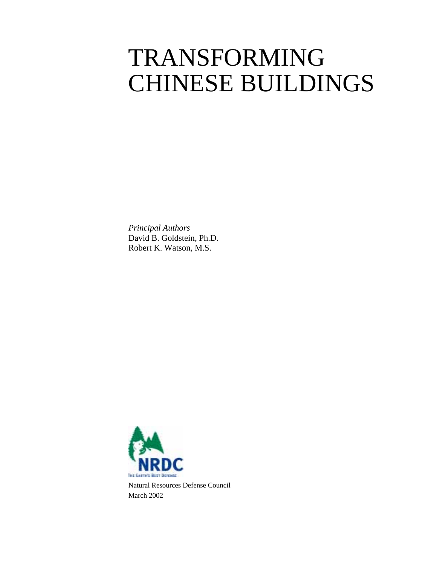# TRANSFORMING CHINESE BUILDINGS

*Principal Authors*  David B. Goldstein, Ph.D. Robert K. Watson, M.S.

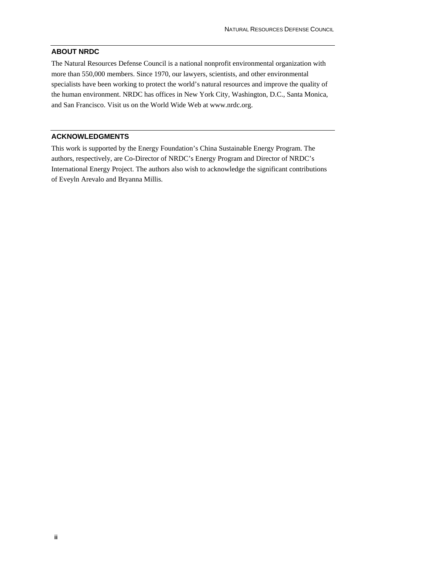### **ABOUT NRDC**

The Natural Resources Defense Council is a national nonprofit environmental organization with more than 550,000 members. Since 1970, our lawyers, scientists, and other environmental specialists have been working to protect the world's natural resources and improve the quality of the human environment. NRDC has offices in New York City, Washington, D.C., Santa Monica, and San Francisco. Visit us on the World Wide Web at www.nrdc.org.

#### **ACKNOWLEDGMENTS**

This work is supported by the Energy Foundation's China Sustainable Energy Program. The authors, respectively, are Co-Director of NRDC's Energy Program and Director of NRDC's International Energy Project. The authors also wish to acknowledge the significant contributions of Eveyln Arevalo and Bryanna Millis.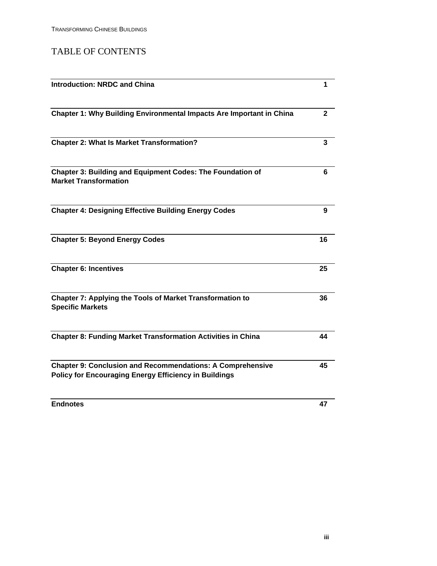## TABLE OF CONTENTS

| <b>Introduction: NRDC and China</b>                                                                                               | 1            |
|-----------------------------------------------------------------------------------------------------------------------------------|--------------|
| Chapter 1: Why Building Environmental Impacts Are Important in China                                                              | $\mathbf{2}$ |
| <b>Chapter 2: What Is Market Transformation?</b>                                                                                  | 3            |
| Chapter 3: Building and Equipment Codes: The Foundation of<br><b>Market Transformation</b>                                        | 6            |
| <b>Chapter 4: Designing Effective Building Energy Codes</b>                                                                       | 9            |
| <b>Chapter 5: Beyond Energy Codes</b>                                                                                             | 16           |
| <b>Chapter 6: Incentives</b>                                                                                                      | 25           |
| <b>Chapter 7: Applying the Tools of Market Transformation to</b><br><b>Specific Markets</b>                                       | 36           |
| <b>Chapter 8: Funding Market Transformation Activities in China</b>                                                               | 44           |
| <b>Chapter 9: Conclusion and Recommendations: A Comprehensive</b><br><b>Policy for Encouraging Energy Efficiency in Buildings</b> | 45           |
| <b>Endnotes</b>                                                                                                                   | 47           |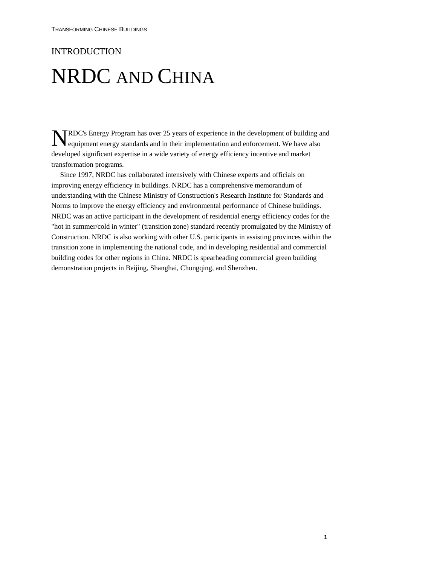### INTRODUCTION

## NRDC AND CHINA

**NEC'**s Energy Program has over 25 years of experience in the development of building and equipment energy standards and in their implementation and enforcement. We have also equipment energy standards and in their implementation and enforcement. We have also developed significant expertise in a wide variety of energy efficiency incentive and market transformation programs.

Since 1997, NRDC has collaborated intensively with Chinese experts and officials on improving energy efficiency in buildings. NRDC has a comprehensive memorandum of understanding with the Chinese Ministry of Construction's Research Institute for Standards and Norms to improve the energy efficiency and environmental performance of Chinese buildings. NRDC was an active participant in the development of residential energy efficiency codes for the "hot in summer/cold in winter" (transition zone) standard recently promulgated by the Ministry of Construction. NRDC is also working with other U.S. participants in assisting provinces within the transition zone in implementing the national code, and in developing residential and commercial building codes for other regions in China. NRDC is spearheading commercial green building demonstration projects in Beijing, Shanghai, Chongqing, and Shenzhen.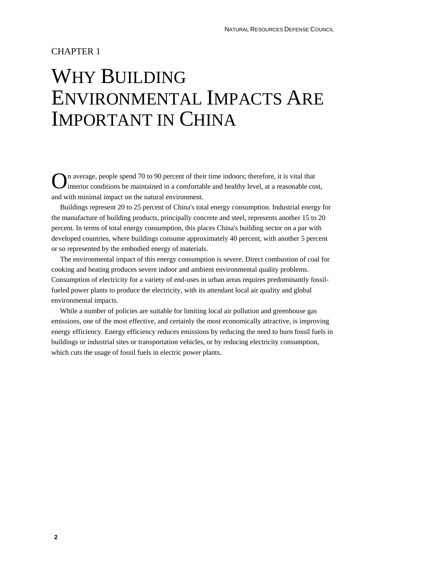### CHAPTER 1

## WHY BUILDING ENVIRONMENTAL IMPACTS ARE IMPORTANT IN CHINA

n average, people spend 70 to 90 percent of their time indoors; therefore, it is vital that  $\sum$ n average, people spend 70 to 90 percent of their time indoors; therefore, it is vital that interior conditions be maintained in a comfortable and healthy level, at a reasonable cost, and with minimal impact on the natural environment.

Buildings represent 20 to 25 percent of China's total energy consumption. Industrial energy for the manufacture of building products, principally concrete and steel, represents another 15 to 20 percent. In terms of total energy consumption, this places China's building sector on a par with developed countries, where buildings consume approximately 40 percent, with another 5 percent or so represented by the embodied energy of materials.

The environmental impact of this energy consumption is severe. Direct combustion of coal for cooking and heating produces severe indoor and ambient environmental quality problems. Consumption of electricity for a variety of end-uses in urban areas requires predominantly fossilfueled power plants to produce the electricity, with its attendant local air quality and global environmental impacts.

While a number of policies are suitable for limiting local air pollution and greenhouse gas emissions, one of the most effective, and certainly the most economically attractive, is improving energy efficiency. Energy efficiency reduces emissions by reducing the need to burn fossil fuels in buildings or industrial sites or transportation vehicles, or by reducing electricity consumption, which cuts the usage of fossil fuels in electric power plants.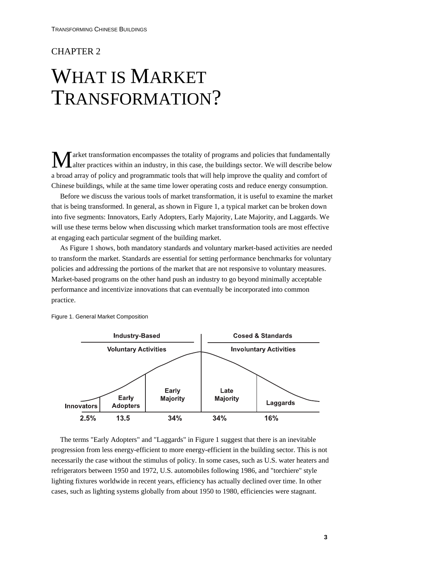### CHAPTER 2

## WHAT IS MARKET TRANSFORMATION?

arket transformation encompasses the totality of programs and policies that fundamentally alter practices within an industry, in this case, the buildings sector. We will describe below a broad array of policy and programmatic tools that will help improve the quality and comfort of Chinese buildings, while at the same time lower operating costs and reduce energy consumption.  $\mathbf{M}^{\text{ar}}_{\text{alt}}$ 

Before we discuss the various tools of market transformation, it is useful to examine the market that is being transformed. In general, as shown in Figure 1, a typical market can be broken down into five segments: Innovators, Early Adopters, Early Majority, Late Majority, and Laggards. We will use these terms below when discussing which market transformation tools are most effective at engaging each particular segment of the building market.

As Figure 1 shows, both mandatory standards and voluntary market-based activities are needed to transform the market. Standards are essential for setting performance benchmarks for voluntary policies and addressing the portions of the market that are not responsive to voluntary measures. Market-based programs on the other hand push an industry to go beyond minimally acceptable performance and incentivize innovations that can eventually be incorporated into common practice.



Figure 1. General Market Composition

The terms "Early Adopters" and "Laggards" in Figure 1 suggest that there is an inevitable progression from less energy-efficient to more energy-efficient in the building sector. This is not necessarily the case without the stimulus of policy. In some cases, such as U.S. water heaters and refrigerators between 1950 and 1972, U.S. automobiles following 1986, and "torchiere" style lighting fixtures worldwide in recent years, efficiency has actually declined over time. In other cases, such as lighting systems globally from about 1950 to 1980, efficiencies were stagnant.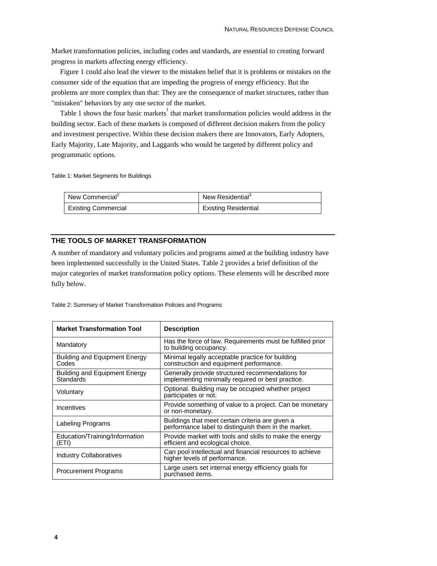Market transformation policies, including codes and standards, are essential to creating forward progress in markets affecting energy efficiency.

Figure 1 could also lead the viewer to the mistaken belief that it is problems or mistakes on the consumer side of the equation that are impeding the progress of energy efficiency. But the problems are more complex than that: They are the consequence of market structures, rather than "mistaken" behaviors by any one sector of the market.

Table 1 shows the four basic markets<sup>1</sup> that market transformation policies would address in the building sector. Each of these markets is composed of different decision makers from the policy and investment perspective. Within these decision makers there are Innovators, Early Adopters, Early Majority, Late Majority, and Laggards who would be targeted by different policy and programmatic options.

Table 1: Market Segments for Buildings

| New Commercial <sup>2</sup> | New Residential <sup>3</sup> |
|-----------------------------|------------------------------|
| Existing Commercial         | Existing Residential         |

#### **THE TOOLS OF MARKET TRANSFORMATION**

A number of mandatory and voluntary policies and programs aimed at the building industry have been implemented successfully in the United States. Table 2 provides a brief definition of the major categories of market transformation policy options. These elements will be described more fully below.

Table 2: Summary of Market Transformation Policies and Programs

| <b>Market Transformation Tool</b>                 | <b>Description</b>                                                                                       |
|---------------------------------------------------|----------------------------------------------------------------------------------------------------------|
| Mandatory                                         | Has the force of law. Requirements must be fulfilled prior<br>to building occupancy.                     |
| <b>Building and Equipment Energy</b><br>Codes     | Minimal legally acceptable practice for building<br>construction and equipment performance.              |
| <b>Building and Equipment Energy</b><br>Standards | Generally provide structured recommendations for<br>implementing minimally required or best practice.    |
| Voluntary                                         | Optional. Building may be occupied whether project<br>participates or not.                               |
| Incentives                                        | Provide something of value to a project. Can be monetary<br>or non-monetary.                             |
| Labeling Programs                                 | Buildings that meet certain criteria are given a<br>performance label to distinguish them in the market. |
| Education/Training/Information<br>(ETI)           | Provide market with tools and skills to make the energy<br>efficient and ecological choice.              |
| <b>Industry Collaboratives</b>                    | Can pool intellectual and financial resources to achieve<br>higher levels of performance.                |
| <b>Procurement Programs</b>                       | Large users set internal energy efficiency goals for<br>purchased items.                                 |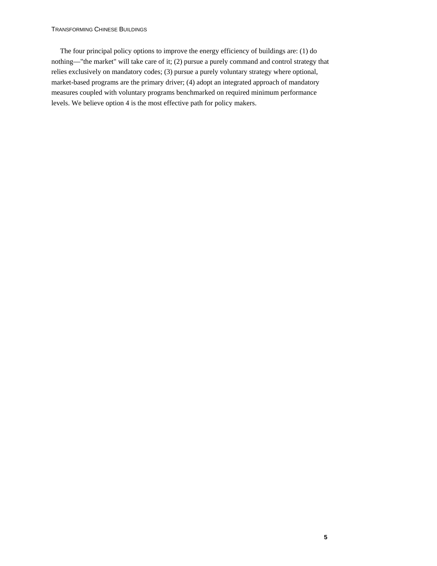#### TRANSFORMING CHINESE BUILDINGS

The four principal policy options to improve the energy efficiency of buildings are: (1) do nothing—"the market" will take care of it; (2) pursue a purely command and control strategy that relies exclusively on mandatory codes; (3) pursue a purely voluntary strategy where optional, market-based programs are the primary driver; (4) adopt an integrated approach of mandatory measures coupled with voluntary programs benchmarked on required minimum performance levels. We believe option 4 is the most effective path for policy makers.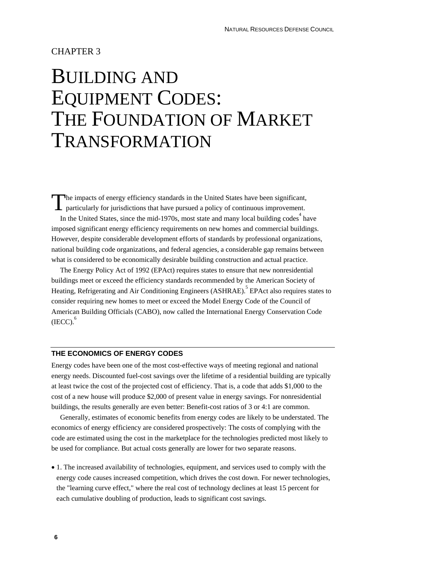### CHAPTER 3

## BUILDING AND EQUIPMENT CODES: THE FOUNDATION OF MARKET TRANSFORMATION

he impacts of energy efficiency standards in the United States have been significant, particularly for jurisdictions that have pursued a policy of continuous improvement. In the United States, since the mid-1970s, most state and many local building codes  $4$  have imposed significant energy efficiency requirements on new homes and commercial buildings. However, despite considerable development efforts of standards by professional organizations, national building code organizations, and federal agencies, a considerable gap remains between what is considered to be economically desirable building construction and actual practice. T

The Energy Policy Act of 1992 (EPAct) requires states to ensure that new nonresidential buildings meet or exceed the efficiency standards recommended by the American Society of Heating, Refrigerating and Air Conditioning Engineers (ASHRAE). <sup>5</sup> EPAct also requires states to consider requiring new homes to meet or exceed the Model Energy Code of the Council of American Building Officials (CABO), now called the International Energy Conservation Code  $(IECC).<sup>6</sup>$ 

#### **THE ECONOMICS OF ENERGY CODES**

Energy codes have been one of the most cost-effective ways of meeting regional and national energy needs. Discounted fuel-cost savings over the lifetime of a residential building are typically at least twice the cost of the projected cost of efficiency. That is, a code that adds \$1,000 to the cost of a new house will produce \$2,000 of present value in energy savings. For nonresidential buildings, the results generally are even better: Benefit-cost ratios of 3 or 4:1 are common.

Generally, estimates of economic benefits from energy codes are likely to be understated. The economics of energy efficiency are considered prospectively: The costs of complying with the code are estimated using the cost in the marketplace for the technologies predicted most likely to be used for compliance. But actual costs generally are lower for two separate reasons.

• 1. The increased availability of technologies, equipment, and services used to comply with the energy code causes increased competition, which drives the cost down. For newer technologies, the "learning curve effect," where the real cost of technology declines at least 15 percent for each cumulative doubling of production, leads to significant cost savings.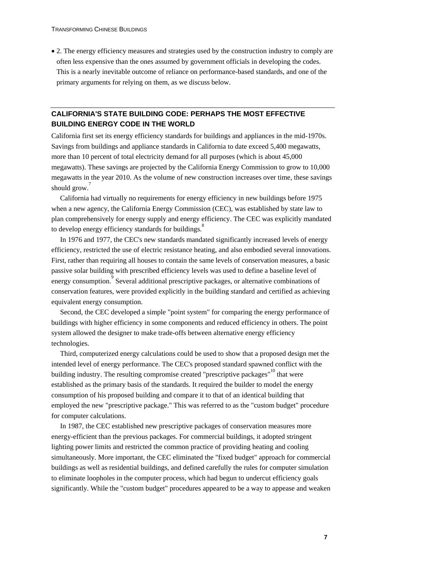• 2. The energy efficiency measures and strategies used by the construction industry to comply are often less expensive than the ones assumed by government officials in developing the codes. This is a nearly inevitable outcome of reliance on performance-based standards, and one of the primary arguments for relying on them, as we discuss below.

### **CALIFORNIA'S STATE BUILDING CODE: PERHAPS THE MOST EFFECTIVE BUILDING ENERGY CODE IN THE WORLD**

California first set its energy efficiency standards for buildings and appliances in the mid-1970s. Savings from buildings and appliance standards in California to date exceed 5,400 megawatts, more than 10 percent of total electricity demand for all purposes (which is about 45,000 megawatts). These savings are projected by the California Energy Commission to grow to 10,000 megawatts in the year 2010. As the volume of new construction increases over time, these savings should grow.<sup>7</sup>

California had virtually no requirements for energy efficiency in new buildings before 1975 when a new agency, the California Energy Commission (CEC), was established by state law to plan comprehensively for energy supply and energy efficiency. The CEC was explicitly mandated to develop energy efficiency standards for buildings.<sup>8</sup>

In 1976 and 1977, the CEC's new standards mandated significantly increased levels of energy efficiency, restricted the use of electric resistance heating, and also embodied several innovations. First, rather than requiring all houses to contain the same levels of conservation measures, a basic passive solar building with prescribed efficiency levels was used to define a baseline level of energy consumption. Several additional prescriptive packages, or alternative combinations of conservation features, were provided explicitly in the building standard and certified as achieving equivalent energy consumption.

Second, the CEC developed a simple "point system" for comparing the energy performance of buildings with higher efficiency in some components and reduced efficiency in others. The point system allowed the designer to make trade-offs between alternative energy efficiency technologies.

Third, computerized energy calculations could be used to show that a proposed design met the intended level of energy performance. The CEC's proposed standard spawned conflict with the building industry. The resulting compromise created "prescriptive packages"<sup>10</sup> that were established as the primary basis of the standards. It required the builder to model the energy consumption of his proposed building and compare it to that of an identical building that employed the new "prescriptive package." This was referred to as the "custom budget" procedure for computer calculations.

In 1987, the CEC established new prescriptive packages of conservation measures more energy-efficient than the previous packages. For commercial buildings, it adopted stringent lighting power limits and restricted the common practice of providing heating and cooling simultaneously. More important, the CEC eliminated the "fixed budget" approach for commercial buildings as well as residential buildings, and defined carefully the rules for computer simulation to eliminate loopholes in the computer process, which had begun to undercut efficiency goals significantly. While the "custom budget" procedures appeared to be a way to appease and weaken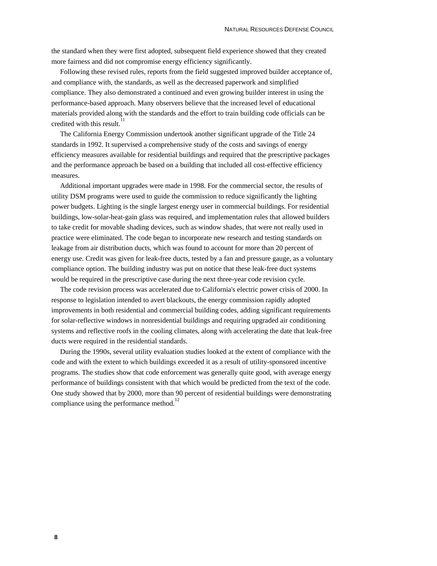the standard when they were first adopted, subsequent field experience showed that they created more fairness and did not compromise energy efficiency significantly.

Following these revised rules, reports from the field suggested improved builder acceptance of, and compliance with, the standards, as well as the decreased paperwork and simplified compliance. They also demonstrated a continued and even growing builder interest in using the performance-based approach. Many observers believe that the increased level of educational materials provided along with the standards and the effort to train building code officials can be credited with this result.<sup>11</sup>

The California Energy Commission undertook another significant upgrade of the Title 24 standards in 1992. It supervised a comprehensive study of the costs and savings of energy efficiency measures available for residential buildings and required that the prescriptive packages and the performance approach be based on a building that included all cost-effective efficiency measures.

Additional important upgrades were made in 1998. For the commercial sector, the results of utility DSM programs were used to guide the commission to reduce significantly the lighting power budgets. Lighting is the single largest energy user in commercial buildings. For residential buildings, low-solar-heat-gain glass was required, and implementation rules that allowed builders to take credit for movable shading devices, such as window shades, that were not really used in practice were eliminated. The code began to incorporate new research and testing standards on leakage from air distribution ducts, which was found to account for more than 20 percent of energy use. Credit was given for leak-free ducts, tested by a fan and pressure gauge, as a voluntary compliance option. The building industry was put on notice that these leak-free duct systems would be required in the prescriptive case during the next three-year code revision cycle.

The code revision process was accelerated due to California's electric power crisis of 2000. In response to legislation intended to avert blackouts, the energy commission rapidly adopted improvements in both residential and commercial building codes, adding significant requirements for solar-reflective windows in nonresidential buildings and requiring upgraded air conditioning systems and reflective roofs in the cooling climates, along with accelerating the date that leak-free ducts were required in the residential standards.

During the 1990s, several utility evaluation studies looked at the extent of compliance with the code and with the extent to which buildings exceeded it as a result of utility-sponsored incentive programs. The studies show that code enforcement was generally quite good, with average energy performance of buildings consistent with that which would be predicted from the text of the code. One study showed that by 2000, more than 90 percent of residential buildings were demonstrating compliance using the performance method.<sup>12</sup>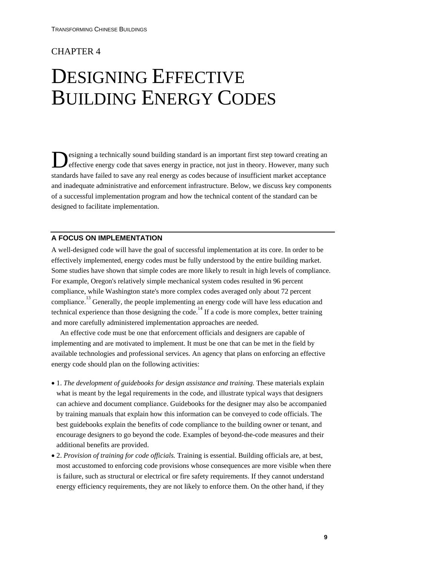### CHAPTER 4

## DESIGNING EFFECTIVE BUILDING ENERGY CODES

esigning a technically sound building standard is an important first step toward creating an **Example 3** effective energy code that saves energy in practice, not just in theory. However, many such selfective energy code that saves energy in practice, not just in theory. However, many such standards have failed to save any real energy as codes because of insufficient market acceptance and inadequate administrative and enforcement infrastructure. Below, we discuss key components of a successful implementation program and how the technical content of the standard can be designed to facilitate implementation.

#### **A FOCUS ON IMPLEMENTATION**

A well-designed code will have the goal of successful implementation at its core. In order to be effectively implemented, energy codes must be fully understood by the entire building market. Some studies have shown that simple codes are more likely to result in high levels of compliance. For example, Oregon's relatively simple mechanical system codes resulted in 96 percent compliance, while Washington state's more complex codes averaged only about 72 percent compliance.<sup>13</sup> Generally, the people implementing an energy code will have less education and technical experience than those designing the code.<sup>14</sup> If a code is more complex, better training and more carefully administered implementation approaches are needed.

An effective code must be one that enforcement officials and designers are capable of implementing and are motivated to implement. It must be one that can be met in the field by available technologies and professional services. An agency that plans on enforcing an effective energy code should plan on the following activities:

- 1. *The development of guidebooks for design assistance and training.* These materials explain what is meant by the legal requirements in the code, and illustrate typical ways that designers can achieve and document compliance. Guidebooks for the designer may also be accompanied by training manuals that explain how this information can be conveyed to code officials. The best guidebooks explain the benefits of code compliance to the building owner or tenant, and encourage designers to go beyond the code. Examples of beyond-the-code measures and their additional benefits are provided.
- 2. *Provision of training for code officials.* Training is essential. Building officials are, at best, most accustomed to enforcing code provisions whose consequences are more visible when there is failure, such as structural or electrical or fire safety requirements. If they cannot understand energy efficiency requirements, they are not likely to enforce them. On the other hand, if they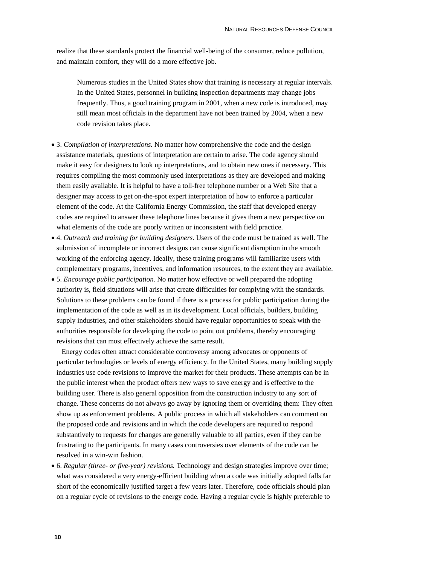realize that these standards protect the financial well-being of the consumer, reduce pollution, and maintain comfort, they will do a more effective job.

Numerous studies in the United States show that training is necessary at regular intervals. In the United States, personnel in building inspection departments may change jobs frequently. Thus, a good training program in 2001, when a new code is introduced, may still mean most officials in the department have not been trained by 2004, when a new code revision takes place.

- 3. *Compilation of interpretations.* No matter how comprehensive the code and the design assistance materials, questions of interpretation are certain to arise. The code agency should make it easy for designers to look up interpretations, and to obtain new ones if necessary. This requires compiling the most commonly used interpretations as they are developed and making them easily available. It is helpful to have a toll-free telephone number or a Web Site that a designer may access to get on-the-spot expert interpretation of how to enforce a particular element of the code. At the California Energy Commission, the staff that developed energy codes are required to answer these telephone lines because it gives them a new perspective on what elements of the code are poorly written or inconsistent with field practice.
- 4. *Outreach and training for building designers.* Users of the code must be trained as well. The submission of incomplete or incorrect designs can cause significant disruption in the smooth working of the enforcing agency. Ideally, these training programs will familiarize users with complementary programs, incentives, and information resources, to the extent they are available.
- 5. *Encourage public participation.* No matter how effective or well prepared the adopting authority is, field situations will arise that create difficulties for complying with the standards. Solutions to these problems can be found if there is a process for public participation during the implementation of the code as well as in its development. Local officials, builders, building supply industries, and other stakeholders should have regular opportunities to speak with the authorities responsible for developing the code to point out problems, thereby encouraging revisions that can most effectively achieve the same result.

Energy codes often attract considerable controversy among advocates or opponents of particular technologies or levels of energy efficiency. In the United States, many building supply industries use code revisions to improve the market for their products. These attempts can be in the public interest when the product offers new ways to save energy and is effective to the building user. There is also general opposition from the construction industry to any sort of change. These concerns do not always go away by ignoring them or overriding them: They often show up as enforcement problems. A public process in which all stakeholders can comment on the proposed code and revisions and in which the code developers are required to respond substantively to requests for changes are generally valuable to all parties, even if they can be frustrating to the participants. In many cases controversies over elements of the code can be resolved in a win-win fashion.

• 6. *Regular (three- or five-year) revisions.* Technology and design strategies improve over time; what was considered a very energy-efficient building when a code was initially adopted falls far short of the economically justified target a few years later. Therefore, code officials should plan on a regular cycle of revisions to the energy code. Having a regular cycle is highly preferable to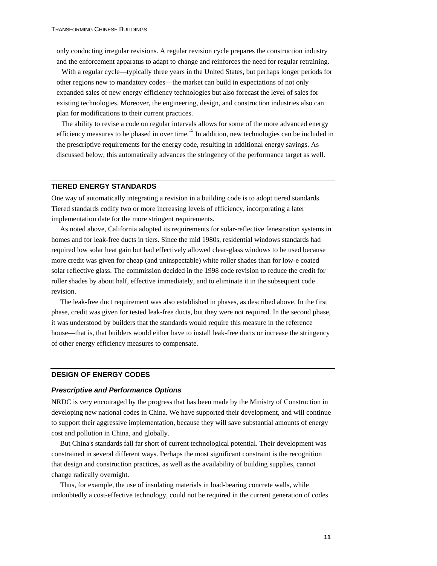only conducting irregular revisions. A regular revision cycle prepares the construction industry and the enforcement apparatus to adapt to change and reinforces the need for regular retraining.

With a regular cycle—typically three years in the United States, but perhaps longer periods for other regions new to mandatory codes—the market can build in expectations of not only expanded sales of new energy efficiency technologies but also forecast the level of sales for existing technologies. Moreover, the engineering, design, and construction industries also can plan for modifications to their current practices.

The ability to revise a code on regular intervals allows for some of the more advanced energy efficiency measures to be phased in over time.<sup>15</sup> In addition, new technologies can be included in the prescriptive requirements for the energy code, resulting in additional energy savings. As discussed below, this automatically advances the stringency of the performance target as well.

#### **TIERED ENERGY STANDARDS**

One way of automatically integrating a revision in a building code is to adopt tiered standards. Tiered standards codify two or more increasing levels of efficiency, incorporating a later implementation date for the more stringent requirements.

As noted above, California adopted its requirements for solar-reflective fenestration systems in homes and for leak-free ducts in tiers. Since the mid 1980s, residential windows standards had required low solar heat gain but had effectively allowed clear-glass windows to be used because more credit was given for cheap (and uninspectable) white roller shades than for low-e coated solar reflective glass. The commission decided in the 1998 code revision to reduce the credit for roller shades by about half, effective immediately, and to eliminate it in the subsequent code revision.

The leak-free duct requirement was also established in phases, as described above. In the first phase, credit was given for tested leak-free ducts, but they were not required. In the second phase, it was understood by builders that the standards would require this measure in the reference house—that is, that builders would either have to install leak-free ducts or increase the stringency of other energy efficiency measures to compensate.

#### **DESIGN OF ENERGY CODES**

#### *Prescriptive and Performance Options*

NRDC is very encouraged by the progress that has been made by the Ministry of Construction in developing new national codes in China. We have supported their development, and will continue to support their aggressive implementation, because they will save substantial amounts of energy cost and pollution in China, and globally.

But China's standards fall far short of current technological potential. Their development was constrained in several different ways. Perhaps the most significant constraint is the recognition that design and construction practices, as well as the availability of building supplies, cannot change radically overnight.

Thus, for example, the use of insulating materials in load-bearing concrete walls, while undoubtedly a cost-effective technology, could not be required in the current generation of codes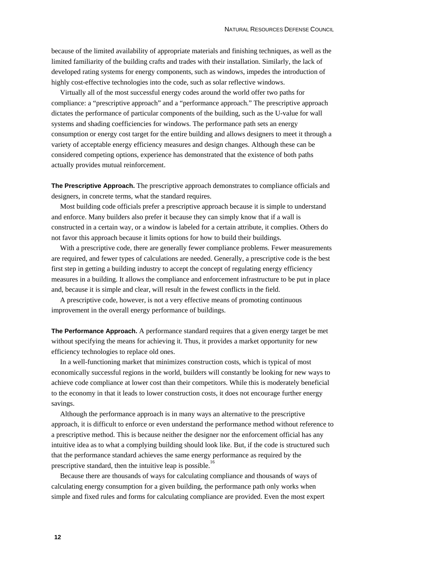because of the limited availability of appropriate materials and finishing techniques, as well as the limited familiarity of the building crafts and trades with their installation. Similarly, the lack of developed rating systems for energy components, such as windows, impedes the introduction of highly cost-effective technologies into the code, such as solar reflective windows.

Virtually all of the most successful energy codes around the world offer two paths for compliance: a "prescriptive approach" and a "performance approach." The prescriptive approach dictates the performance of particular components of the building, such as the U-value for wall systems and shading coefficiencies for windows. The performance path sets an energy consumption or energy cost target for the entire building and allows designers to meet it through a variety of acceptable energy efficiency measures and design changes. Although these can be considered competing options, experience has demonstrated that the existence of both paths actually provides mutual reinforcement.

**The Prescriptive Approach.** The prescriptive approach demonstrates to compliance officials and designers, in concrete terms, what the standard requires.

Most building code officials prefer a prescriptive approach because it is simple to understand and enforce. Many builders also prefer it because they can simply know that if a wall is constructed in a certain way, or a window is labeled for a certain attribute, it complies. Others do not favor this approach because it limits options for how to build their buildings.

With a prescriptive code, there are generally fewer compliance problems. Fewer measurements are required, and fewer types of calculations are needed. Generally, a prescriptive code is the best first step in getting a building industry to accept the concept of regulating energy efficiency measures in a building. It allows the compliance and enforcement infrastructure to be put in place and, because it is simple and clear, will result in the fewest conflicts in the field.

A prescriptive code, however, is not a very effective means of promoting continuous improvement in the overall energy performance of buildings.

**The Performance Approach.** A performance standard requires that a given energy target be met without specifying the means for achieving it. Thus, it provides a market opportunity for new efficiency technologies to replace old ones.

In a well-functioning market that minimizes construction costs, which is typical of most economically successful regions in the world, builders will constantly be looking for new ways to achieve code compliance at lower cost than their competitors. While this is moderately beneficial to the economy in that it leads to lower construction costs, it does not encourage further energy savings.

Although the performance approach is in many ways an alternative to the prescriptive approach, it is difficult to enforce or even understand the performance method without reference to a prescriptive method. This is because neither the designer nor the enforcement official has any intuitive idea as to what a complying building should look like. But, if the code is structured such that the performance standard achieves the same energy performance as required by the prescriptive standard, then the intuitive leap is possible.<sup>16</sup>

Because there are thousands of ways for calculating compliance and thousands of ways of calculating energy consumption for a given building, the performance path only works when simple and fixed rules and forms for calculating compliance are provided. Even the most expert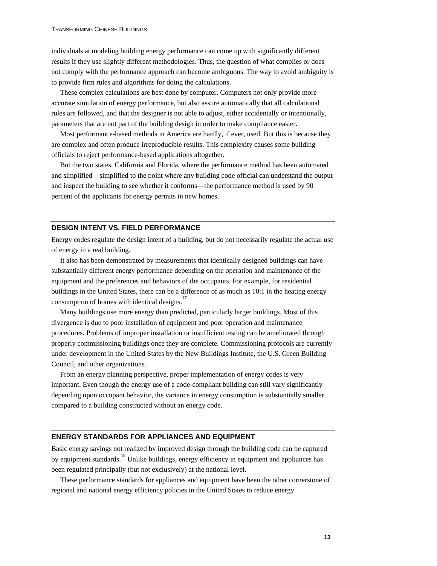individuals at modeling building energy performance can come up with significantly different results if they use slightly different methodologies. Thus, the question of what complies or does not comply with the performance approach can become ambiguous. The way to avoid ambiguity is to provide firm rules and algorithms for doing the calculations.

These complex calculations are best done by computer. Computers not only provide more accurate simulation of energy performance, but also assure automatically that all calculational rules are followed, and that the designer is not able to adjust, either accidentally or intentionally, parameters that are not part of the building design in order to make compliance easier.

Most performance-based methods in America are hardly, if ever, used. But this is because they are complex and often produce irreproducible results. This complexity causes some building officials to reject performance-based applications altogether.

But the two states, California and Florida, where the performance method has been automated and simplified—simplified to the point where any building code official can understand the output and inspect the building to see whether it conforms—the performance method is used by 90 percent of the applicants for energy permits in new homes.

#### **DESIGN INTENT VS. FIELD PERFORMANCE**

Energy codes regulate the design intent of a building, but do not necessarily regulate the actual use of energy in a real building.

It also has been demonstrated by measurements that identically designed buildings can have substantially different energy performance depending on the operation and maintenance of the equipment and the preferences and behaviors of the occupants. For example, for residential buildings in the United States, there can be a difference of as much as 10:1 in the heating energy consumption of homes with identical designs.<sup>17</sup>

Many buildings use more energy than predicted, particularly larger buildings. Most of this divergence is due to poor installation of equipment and poor operation and maintenance procedures. Problems of improper installation or insufficient testing can be ameliorated through properly commissioning buildings once they are complete. Commissioning protocols are currently under development in the United States by the New Buildings Institute, the U.S. Green Building Council, and other organizations.

From an energy planning perspective, proper implementation of energy codes is very important. Even though the energy use of a code-compliant building can still vary significantly depending upon occupant behavior, the variance in energy consumption is substantially smaller compared to a building constructed without an energy code.

#### **ENERGY STANDARDS FOR APPLIANCES AND EQUIPMENT**

Basic energy savings not realized by improved design through the building code can be captured by equipment standards.<sup>18</sup> Unlike buildings, energy efficiency in equipment and appliances has been regulated principally (but not exclusively) at the national level.

These performance standards for appliances and equipment have been the other cornerstone of regional and national energy efficiency policies in the United States to reduce energy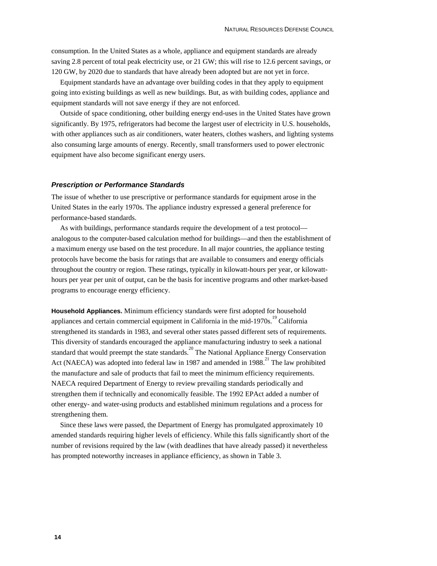consumption. In the United States as a whole, appliance and equipment standards are already saving 2.8 percent of total peak electricity use, or 21 GW; this will rise to 12.6 percent savings, or 120 GW, by 2020 due to standards that have already been adopted but are not yet in force.

Equipment standards have an advantage over building codes in that they apply to equipment going into existing buildings as well as new buildings. But, as with building codes, appliance and equipment standards will not save energy if they are not enforced.

Outside of space conditioning, other building energy end-uses in the United States have grown significantly. By 1975, refrigerators had become the largest user of electricity in U.S. households, with other appliances such as air conditioners, water heaters, clothes washers, and lighting systems also consuming large amounts of energy. Recently, small transformers used to power electronic equipment have also become significant energy users.

#### *Prescription or Performance Standards*

The issue of whether to use prescriptive or performance standards for equipment arose in the United States in the early 1970s. The appliance industry expressed a general preference for performance-based standards.

As with buildings, performance standards require the development of a test protocol analogous to the computer-based calculation method for buildings—and then the establishment of a maximum energy use based on the test procedure. In all major countries, the appliance testing protocols have become the basis for ratings that are available to consumers and energy officials throughout the country or region. These ratings, typically in kilowatt-hours per year, or kilowatthours per year per unit of output, can be the basis for incentive programs and other market-based programs to encourage energy efficiency.

**Household Appliances.** Minimum efficiency standards were first adopted for household appliances and certain commercial equipment in California in the mid-1970s.<sup>19</sup> California strengthened its standards in 1983, and several other states passed different sets of requirements. This diversity of standards encouraged the appliance manufacturing industry to seek a national standard that would preempt the state standards.<sup>20</sup> The National Appliance Energy Conservation Act (NAECA) was adopted into federal law in 1987 and amended in  $1988$ <sup>21</sup>. The law prohibited the manufacture and sale of products that fail to meet the minimum efficiency requirements. NAECA required Department of Energy to review prevailing standards periodically and strengthen them if technically and economically feasible. The 1992 EPAct added a number of other energy- and water-using products and established minimum regulations and a process for strengthening them.

Since these laws were passed, the Department of Energy has promulgated approximately 10 amended standards requiring higher levels of efficiency. While this falls significantly short of the number of revisions required by the law (with deadlines that have already passed) it nevertheless has prompted noteworthy increases in appliance efficiency, as shown in Table 3.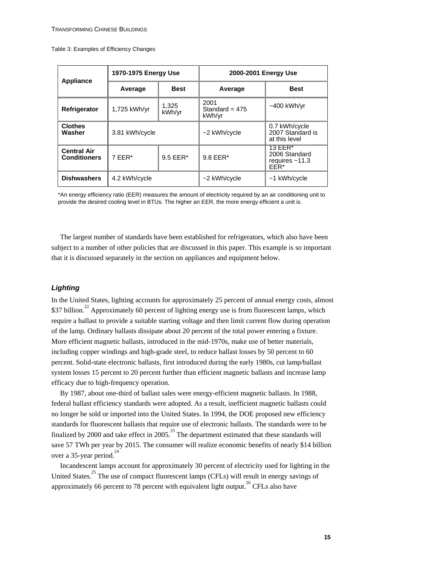Table 3: Examples of Efficiency Changes

| Appliance                                 | 1970-1975 Energy Use |                 | 2000-2001 Energy Use               |                                                      |
|-------------------------------------------|----------------------|-----------------|------------------------------------|------------------------------------------------------|
|                                           | Average              | <b>Best</b>     | Average                            | <b>Best</b>                                          |
| Refrigerator                              | 1,725 kWh/yr         | 1,325<br>kWh/yr | 2001<br>Standard = $475$<br>kWh/yr | $~1400$ kWh/yr                                       |
| <b>Clothes</b><br>Washer                  | 3.81 kWh/cycle       |                 | $\sim$ 2 kWh/cycle                 | 0.7 kWh/cycle<br>2007 Standard is<br>at this level   |
| <b>Central Air</b><br><b>Conditioners</b> | $7$ FFR*             | $9.5$ EER*      | $9.8$ EER $*$                      | 13 EER*<br>2006 Standard<br>requires $~11.3$<br>EER* |
| <b>Dishwashers</b>                        | 4.2 kWh/cycle        |                 | $\sim$ 2 kWh/cycle                 | $~1$ kWh/cycle                                       |

\*An energy efficiency ratio (EER) measures the amount of electricity required by an air conditioning unit to provide the desired cooling level in BTUs. The higher an EER, the more energy efficient a unit is.

The largest number of standards have been established for refrigerators, which also have been subject to a number of other policies that are discussed in this paper. This example is so important that it is discussed separately in the section on appliances and equipment below.

#### *Lighting*

In the United States, lighting accounts for approximately 25 percent of annual energy costs, almost \$37 billion.<sup>22</sup> Approximately 60 percent of lighting energy use is from fluorescent lamps, which require a ballast to provide a suitable starting voltage and then limit current flow during operation of the lamp. Ordinary ballasts dissipate about 20 percent of the total power entering a fixture. More efficient magnetic ballasts, introduced in the mid-1970s, make use of better materials, including copper windings and high-grade steel, to reduce ballast losses by 50 percent to 60 percent. Solid-state electronic ballasts, first introduced during the early 1980s, cut lamp/ballast system losses 15 percent to 20 percent further than efficient magnetic ballasts and increase lamp efficacy due to high-frequency operation.

By 1987, about one-third of ballast sales were energy-efficient magnetic ballasts. In 1988, federal ballast efficiency standards were adopted. As a result, inefficient magnetic ballasts could no longer be sold or imported into the United States. In 1994, the DOE proposed new efficiency standards for fluorescent ballasts that require use of electronic ballasts. The standards were to be finalized by 2000 and take effect in 2005.<sup>23</sup> The department estimated that these standards will save 57 TWh per year by 2015. The consumer will realize economic benefits of nearly \$14 billion over a 35-year period. $^{24}$ 

Incandescent lamps account for approximately 30 percent of electricity used for lighting in the United States.<sup>25</sup> The use of compact fluorescent lamps (CFLs) will result in energy savings of approximately 66 percent to 78 percent with equivalent light output.<sup>26</sup> CFLs also have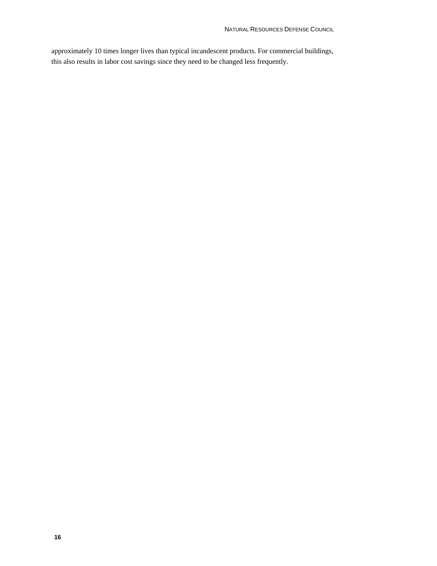approximately 10 times longer lives than typical incandescent products. For commercial buildings, this also results in labor cost savings since they need to be changed less frequently.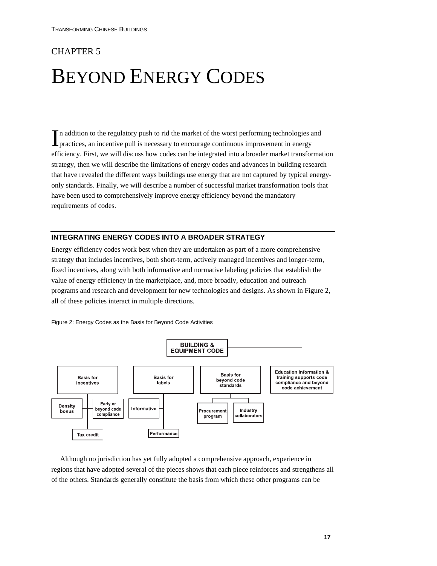## CHAPTER 5

## BEYOND ENERGY CODES

In addition to the regulatory push to rid the market of the worst performing technologies and In addition to the regulatory push to rid the market of the worst performing technologies a practices, an incentive pull is necessary to encourage continuous improvement in energy efficiency. First, we will discuss how codes can be integrated into a broader market transformation strategy, then we will describe the limitations of energy codes and advances in building research that have revealed the different ways buildings use energy that are not captured by typical energyonly standards. Finally, we will describe a number of successful market transformation tools that have been used to comprehensively improve energy efficiency beyond the mandatory requirements of codes.

#### **INTEGRATING ENERGY CODES INTO A BROADER STRATEGY**

Energy efficiency codes work best when they are undertaken as part of a more comprehensive strategy that includes incentives, both short-term, actively managed incentives and longer-term, fixed incentives, along with both informative and normative labeling policies that establish the value of energy efficiency in the marketplace, and, more broadly, education and outreach programs and research and development for new technologies and designs. As shown in Figure 2, all of these policies interact in multiple directions.



Figure 2: Energy Codes as the Basis for Beyond Code Activities

Although no jurisdiction has yet fully adopted a comprehensive approach, experience in regions that have adopted several of the pieces shows that each piece reinforces and strengthens all of the others. Standards generally constitute the basis from which these other programs can be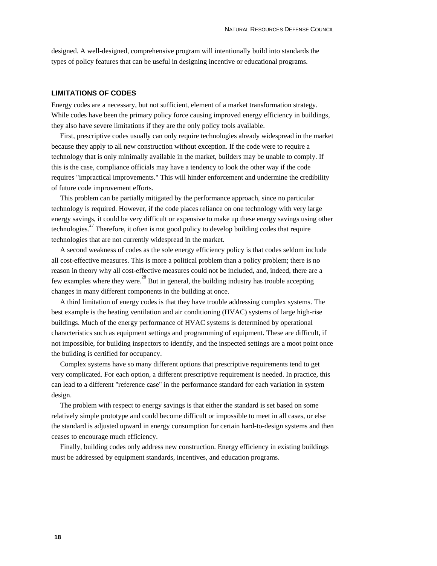designed. A well-designed, comprehensive program will intentionally build into standards the types of policy features that can be useful in designing incentive or educational programs.

#### **LIMITATIONS OF CODES**

Energy codes are a necessary, but not sufficient, element of a market transformation strategy. While codes have been the primary policy force causing improved energy efficiency in buildings, they also have severe limitations if they are the only policy tools available.

First, prescriptive codes usually can only require technologies already widespread in the market because they apply to all new construction without exception. If the code were to require a technology that is only minimally available in the market, builders may be unable to comply. If this is the case, compliance officials may have a tendency to look the other way if the code requires "impractical improvements." This will hinder enforcement and undermine the credibility of future code improvement efforts.

This problem can be partially mitigated by the performance approach, since no particular technology is required. However, if the code places reliance on one technology with very large energy savings, it could be very difficult or expensive to make up these energy savings using other technologies.<sup>27</sup> Therefore, it often is not good policy to develop building codes that require technologies that are not currently widespread in the market.

A second weakness of codes as the sole energy efficiency policy is that codes seldom include all cost-effective measures. This is more a political problem than a policy problem; there is no reason in theory why all cost-effective measures could not be included, and, indeed, there are a few examples where they were.<sup>28</sup> But in general, the building industry has trouble accepting changes in many different components in the building at once.

A third limitation of energy codes is that they have trouble addressing complex systems. The best example is the heating ventilation and air conditioning (HVAC) systems of large high-rise buildings. Much of the energy performance of HVAC systems is determined by operational characteristics such as equipment settings and programming of equipment. These are difficult, if not impossible, for building inspectors to identify, and the inspected settings are a moot point once the building is certified for occupancy.

Complex systems have so many different options that prescriptive requirements tend to get very complicated. For each option, a different prescriptive requirement is needed. In practice, this can lead to a different "reference case" in the performance standard for each variation in system design.

The problem with respect to energy savings is that either the standard is set based on some relatively simple prototype and could become difficult or impossible to meet in all cases, or else the standard is adjusted upward in energy consumption for certain hard-to-design systems and then ceases to encourage much efficiency.

Finally, building codes only address new construction. Energy efficiency in existing buildings must be addressed by equipment standards, incentives, and education programs.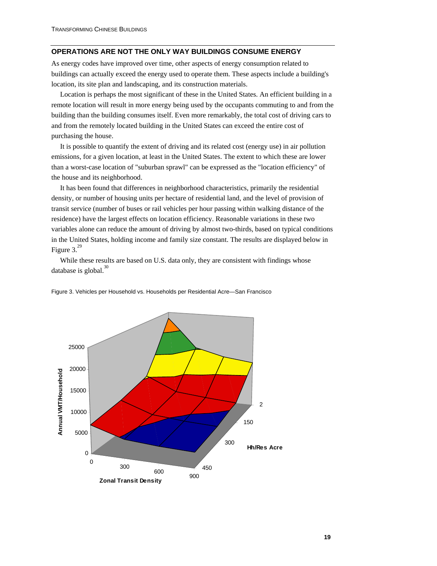#### **OPERATIONS ARE NOT THE ONLY WAY BUILDINGS CONSUME ENERGY**

As energy codes have improved over time, other aspects of energy consumption related to buildings can actually exceed the energy used to operate them. These aspects include a building's location, its site plan and landscaping, and its construction materials.

Location is perhaps the most significant of these in the United States. An efficient building in a remote location will result in more energy being used by the occupants commuting to and from the building than the building consumes itself. Even more remarkably, the total cost of driving cars to and from the remotely located building in the United States can exceed the entire cost of purchasing the house.

It is possible to quantify the extent of driving and its related cost (energy use) in air pollution emissions, for a given location, at least in the United States. The extent to which these are lower than a worst-case location of "suburban sprawl" can be expressed as the "location efficiency" of the house and its neighborhood.

It has been found that differences in neighborhood characteristics, primarily the residential density, or number of housing units per hectare of residential land, and the level of provision of transit service (number of buses or rail vehicles per hour passing within walking distance of the residence) have the largest effects on location efficiency. Reasonable variations in these two variables alone can reduce the amount of driving by almost two-thirds, based on typical conditions in the United States, holding income and family size constant. The results are displayed below in Figure  $3.29$ 

While these results are based on U.S. data only, they are consistent with findings whose database is global. $30$ 



Figure 3. Vehicles per Household vs. Households per Residential Acre—San Francisco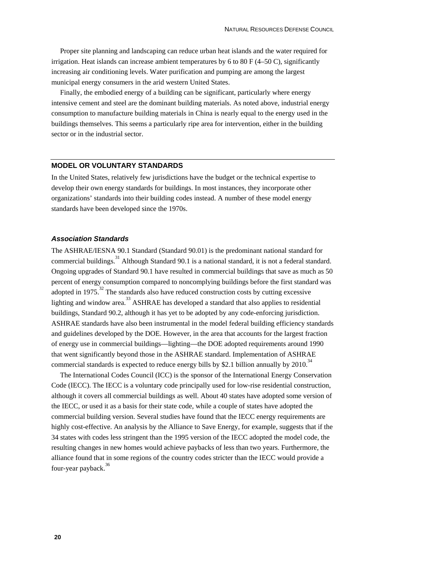Proper site planning and landscaping can reduce urban heat islands and the water required for irrigation. Heat islands can increase ambient temperatures by 6 to 80 F  $(4–50 \text{ C})$ , significantly increasing air conditioning levels. Water purification and pumping are among the largest municipal energy consumers in the arid western United States.

Finally, the embodied energy of a building can be significant, particularly where energy intensive cement and steel are the dominant building materials. As noted above, industrial energy consumption to manufacture building materials in China is nearly equal to the energy used in the buildings themselves. This seems a particularly ripe area for intervention, either in the building sector or in the industrial sector.

#### **MODEL OR VOLUNTARY STANDARDS**

In the United States, relatively few jurisdictions have the budget or the technical expertise to develop their own energy standards for buildings. In most instances, they incorporate other organizations' standards into their building codes instead. A number of these model energy standards have been developed since the 1970s.

#### *Association Standards*

The ASHRAE/IESNA 90.1 Standard (Standard 90.01) is the predominant national standard for commercial buildings.<sup>31</sup> Although Standard 90.1 is a national standard, it is not a federal standard. Ongoing upgrades of Standard 90.1 have resulted in commercial buildings that save as much as 50 percent of energy consumption compared to noncomplying buildings before the first standard was adopted in 1975.<sup>32</sup> The standards also have reduced construction costs by cutting excessive lighting and window area.<sup>33</sup> ASHRAE has developed a standard that also applies to residential buildings, Standard 90.2, although it has yet to be adopted by any code-enforcing jurisdiction. ASHRAE standards have also been instrumental in the model federal building efficiency standards and guidelines developed by the DOE. However, in the area that accounts for the largest fraction of energy use in commercial buildings—lighting—the DOE adopted requirements around 1990 that went significantly beyond those in the ASHRAE standard. Implementation of ASHRAE commercial standards is expected to reduce energy bills by \$2.1 billion annually by  $2010<sup>34</sup>$ 

The International Codes Council (ICC) is the sponsor of the International Energy Conservation Code (IECC). The IECC is a voluntary code principally used for low-rise residential construction, although it covers all commercial buildings as well. About 40 states have adopted some version of the IECC, or used it as a basis for their state code, while a couple of states have adopted the commercial building version. Several studies have found that the IECC energy requirements are highly cost-effective. An analysis by the Alliance to Save Energy, for example, suggests that if the 34 states with codes less stringent than the 1995 version of the IECC adopted the model code, the resulting changes in new homes would achieve paybacks of less than two years. Furthermore, the alliance found that in some regions of the country codes stricter than the IECC would provide a four-year payback.<sup>36</sup>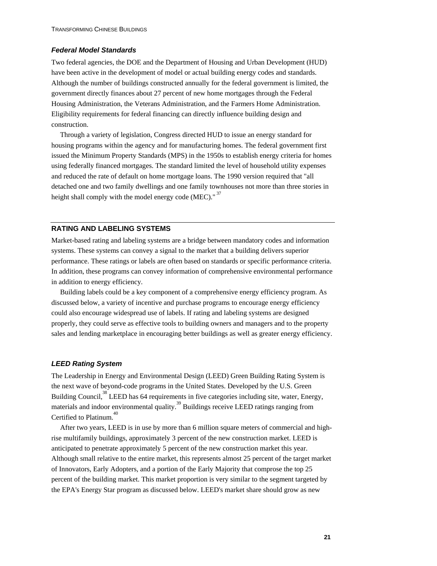#### *Federal Model Standards*

Two federal agencies, the DOE and the Department of Housing and Urban Development (HUD) have been active in the development of model or actual building energy codes and standards. Although the number of buildings constructed annually for the federal government is limited, the government directly finances about 27 percent of new home mortgages through the Federal Housing Administration, the Veterans Administration, and the Farmers Home Administration. Eligibility requirements for federal financing can directly influence building design and construction.

Through a variety of legislation, Congress directed HUD to issue an energy standard for housing programs within the agency and for manufacturing homes. The federal government first issued the Minimum Property Standards (MPS) in the 1950s to establish energy criteria for homes using federally financed mortgages. The standard limited the level of household utility expenses and reduced the rate of default on home mortgage loans. The 1990 version required that "all detached one and two family dwellings and one family townhouses not more than three stories in height shall comply with the model energy code (MEC)."<sup>37</sup>

#### **RATING AND LABELING SYSTEMS**

Market-based rating and labeling systems are a bridge between mandatory codes and information systems. These systems can convey a signal to the market that a building delivers superior performance. These ratings or labels are often based on standards or specific performance criteria. In addition, these programs can convey information of comprehensive environmental performance in addition to energy efficiency.

Building labels could be a key component of a comprehensive energy efficiency program. As discussed below, a variety of incentive and purchase programs to encourage energy efficiency could also encourage widespread use of labels. If rating and labeling systems are designed properly, they could serve as effective tools to building owners and managers and to the property sales and lending marketplace in encouraging better buildings as well as greater energy efficiency.

#### *LEED Rating System*

The Leadership in Energy and Environmental Design (LEED) Green Building Rating System is the next wave of beyond-code programs in the United States. Developed by the U.S. Green Building Council,<sup>38</sup> LEED has 64 requirements in five categories including site, water, Energy, materials and indoor environmental quality.<sup>39</sup> Buildings receive LEED ratings ranging from Certified to Platinum.<sup>40</sup>

After two years, LEED is in use by more than 6 million square meters of commercial and highrise multifamily buildings, approximately 3 percent of the new construction market. LEED is anticipated to penetrate approximately 5 percent of the new construction market this year. Although small relative to the entire market, this represents almost 25 percent of the target market of Innovators, Early Adopters, and a portion of the Early Majority that comprose the top 25 percent of the building market. This market proportion is very similar to the segment targeted by the EPA's Energy Star program as discussed below. LEED's market share should grow as new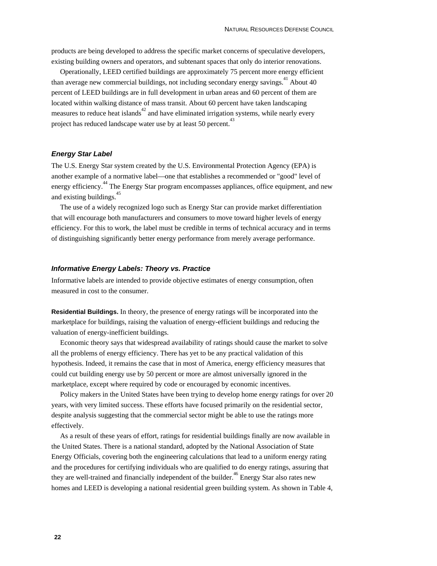products are being developed to address the specific market concerns of speculative developers, existing building owners and operators, and subtenant spaces that only do interior renovations.

Operationally, LEED certified buildings are approximately 75 percent more energy efficient than average new commercial buildings, not including secondary energy savings.<sup>41</sup> About 40 percent of LEED buildings are in full development in urban areas and 60 percent of them are located within walking distance of mass transit. About 60 percent have taken landscaping measures to reduce heat islands $42$  and have eliminated irrigation systems, while nearly every project has reduced landscape water use by at least 50 percent.<sup>43</sup>

#### *Energy Star Label*

The U.S. Energy Star system created by the U.S. Environmental Protection Agency (EPA) is another example of a normative label—one that establishes a recommended or "good" level of energy efficiency.<sup>44</sup> The Energy Star program encompasses appliances, office equipment, and new and existing buildings.<sup>4</sup>

The use of a widely recognized logo such as Energy Star can provide market differentiation that will encourage both manufacturers and consumers to move toward higher levels of energy efficiency. For this to work, the label must be credible in terms of technical accuracy and in terms of distinguishing significantly better energy performance from merely average performance.

#### *Informative Energy Labels: Theory vs. Practice*

Informative labels are intended to provide objective estimates of energy consumption, often measured in cost to the consumer.

**Residential Buildings.** In theory, the presence of energy ratings will be incorporated into the marketplace for buildings, raising the valuation of energy-efficient buildings and reducing the valuation of energy-inefficient buildings.

Economic theory says that widespread availability of ratings should cause the market to solve all the problems of energy efficiency. There has yet to be any practical validation of this hypothesis. Indeed, it remains the case that in most of America, energy efficiency measures that could cut building energy use by 50 percent or more are almost universally ignored in the marketplace, except where required by code or encouraged by economic incentives.

Policy makers in the United States have been trying to develop home energy ratings for over 20 years, with very limited success. These efforts have focused primarily on the residential sector, despite analysis suggesting that the commercial sector might be able to use the ratings more effectively.

As a result of these years of effort, ratings for residential buildings finally are now available in the United States. There is a national standard, adopted by the National Association of State Energy Officials, covering both the engineering calculations that lead to a uniform energy rating and the procedures for certifying individuals who are qualified to do energy ratings, assuring that they are well-trained and financially independent of the builder.<sup>46</sup> Energy Star also rates new homes and LEED is developing a national residential green building system. As shown in Table 4,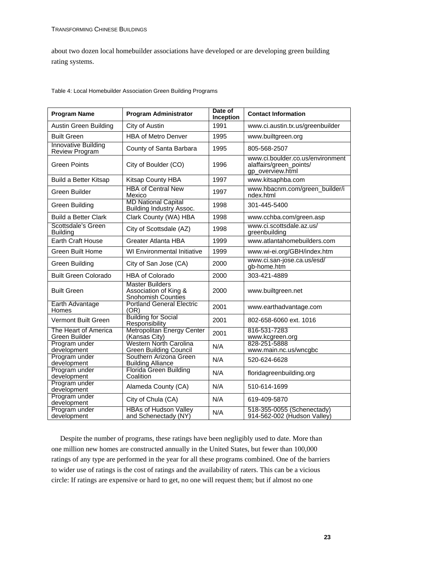about two dozen local homebuilder associations have developed or are developing green building rating systems.

| Table 4: Local Homebuilder Association Green Building Programs |  |  |  |  |
|----------------------------------------------------------------|--|--|--|--|
|----------------------------------------------------------------|--|--|--|--|

| <b>Program Name</b>                                 | <b>Program Administrator</b>                                          | Date of<br>Inception | <b>Contact Information</b>                                                      |
|-----------------------------------------------------|-----------------------------------------------------------------------|----------------------|---------------------------------------------------------------------------------|
| Austin Green Building                               | City of Austin                                                        | 1991                 | www.ci.austin.tx.us/greenbuilder                                                |
| <b>Built Green</b>                                  | <b>HBA of Metro Denver</b>                                            | 1995                 | www.builtgreen.org                                                              |
| <b>Innovative Building</b><br><b>Review Program</b> | County of Santa Barbara                                               | 1995                 | 805-568-2507                                                                    |
| Green Points                                        | City of Boulder (CO)                                                  | 1996                 | www.ci.boulder.co.us/environment<br>alaffairs/green_points/<br>gp_overview.html |
| <b>Build a Better Kitsap</b>                        | Kitsap County HBA                                                     | 1997                 | www.kitsaphba.com                                                               |
| Green Builder                                       | <b>HBA of Central New</b><br>Mexico                                   | 1997                 | www.hbacnm.com/green_builder/i<br>ndex.html                                     |
| Green Building                                      | <b>MD National Capital</b><br>Building Industry Assoc.                | 1998                 | 301-445-5400                                                                    |
| <b>Build a Better Clark</b>                         | Clark County (WA) HBA                                                 | 1998                 | www.cchba.com/green.asp                                                         |
| Scottsdale's Green<br><b>Building</b>               | City of Scottsdale (AZ)                                               | 1998                 | www.ci.scottsdale.az.us/<br>greenbuilding                                       |
| <b>Earth Craft House</b>                            | Greater Atlanta HBA                                                   | 1999                 | www.atlantahomebuilders.com                                                     |
| <b>Green Built Home</b>                             | <b>WI Environmental Initiative</b>                                    | 1999                 | www.wi-ei.org/GBH/index.htm                                                     |
| Green Building                                      | City of San Jose (CA)                                                 | 2000                 | www.ci.san-jose.ca.us/esd/<br>gb-home.htm                                       |
| <b>Built Green Colorado</b>                         | <b>HBA of Colorado</b>                                                | 2000                 | 303-421-4889                                                                    |
| <b>Built Green</b>                                  | <b>Master Builders</b><br>Association of King &<br>Snohomish Counties | 2000                 | www.builtgreen.net                                                              |
| Earth Advantage<br>Homes                            | <b>Portland General Electric</b><br>(OR)                              | 2001                 | www.earthadvantage.com                                                          |
| Vermont Built Green                                 | <b>Building for Social</b><br>Responsibility                          | 2001                 | 802-658-6060 ext. 1016                                                          |
| The Heart of America<br>Green Builder               | Metropolitan Energy Center<br>(Kansas City)                           | 2001                 | 816-531-7283<br>www.kcgreen.org                                                 |
| Program under<br>development                        | Western North Carolina<br><b>Green Building Council</b>               | N/A                  | 828-251-5888<br>www.main.nc.us/wncgbc                                           |
| Program under<br>development                        | Southern Arizona Green<br><b>Building Alliance</b>                    | N/A                  | 520-624-6628                                                                    |
| Program under<br>development                        | Florida Green Building<br>Coalition                                   | N/A                  | floridagreenbuilding.org                                                        |
| Program under<br>development                        | Alameda County (CA)                                                   | N/A                  | 510-614-1699                                                                    |
| Program under<br>development                        | City of Chula (CA)                                                    | N/A                  | 619-409-5870                                                                    |
| Program under<br>development                        | <b>HBAs of Hudson Valley</b><br>and Schenectady (NY)                  | N/A                  | 518-355-0055 (Schenectady)<br>914-562-002 (Hudson Valley)                       |

Despite the number of programs, these ratings have been negligibly used to date. More than one million new homes are constructed annually in the United States, but fewer than 100,000 ratings of any type are performed in the year for all these programs combined. One of the barriers to wider use of ratings is the cost of ratings and the availability of raters. This can be a vicious circle: If ratings are expensive or hard to get, no one will request them; but if almost no one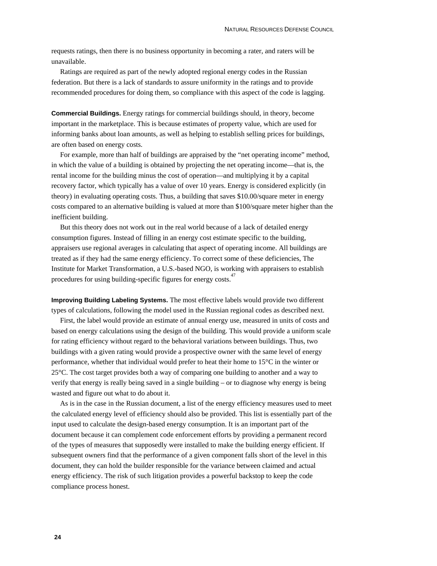requests ratings, then there is no business opportunity in becoming a rater, and raters will be unavailable.

Ratings are required as part of the newly adopted regional energy codes in the Russian federation. But there is a lack of standards to assure uniformity in the ratings and to provide recommended procedures for doing them, so compliance with this aspect of the code is lagging.

**Commercial Buildings.** Energy ratings for commercial buildings should, in theory, become important in the marketplace. This is because estimates of property value, which are used for informing banks about loan amounts, as well as helping to establish selling prices for buildings, are often based on energy costs.

For example, more than half of buildings are appraised by the "net operating income" method, in which the value of a building is obtained by projecting the net operating income—that is, the rental income for the building minus the cost of operation—and multiplying it by a capital recovery factor, which typically has a value of over 10 years. Energy is considered explicitly (in theory) in evaluating operating costs. Thus, a building that saves \$10.00/square meter in energy costs compared to an alternative building is valued at more than \$100/square meter higher than the inefficient building.

But this theory does not work out in the real world because of a lack of detailed energy consumption figures. Instead of filling in an energy cost estimate specific to the building, appraisers use regional averages in calculating that aspect of operating income. All buildings are treated as if they had the same energy efficiency. To correct some of these deficiencies, The Institute for Market Transformation, a U.S.-based NGO, is working with appraisers to establish procedures for using building-specific figures for energy costs.<sup>47</sup>

**Improving Building Labeling Systems.** The most effective labels would provide two different types of calculations, following the model used in the Russian regional codes as described next.

First, the label would provide an estimate of annual energy use, measured in units of costs and based on energy calculations using the design of the building. This would provide a uniform scale for rating efficiency without regard to the behavioral variations between buildings. Thus, two buildings with a given rating would provide a prospective owner with the same level of energy performance, whether that individual would prefer to heat their home to 15°C in the winter or 25°C. The cost target provides both a way of comparing one building to another and a way to verify that energy is really being saved in a single building – or to diagnose why energy is being wasted and figure out what to do about it.

As is in the case in the Russian document, a list of the energy efficiency measures used to meet the calculated energy level of efficiency should also be provided. This list is essentially part of the input used to calculate the design-based energy consumption. It is an important part of the document because it can complement code enforcement efforts by providing a permanent record of the types of measures that supposedly were installed to make the building energy efficient. If subsequent owners find that the performance of a given component falls short of the level in this document, they can hold the builder responsible for the variance between claimed and actual energy efficiency. The risk of such litigation provides a powerful backstop to keep the code compliance process honest.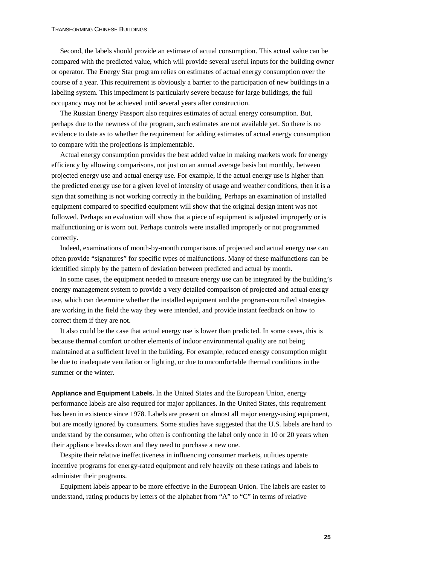Second, the labels should provide an estimate of actual consumption. This actual value can be compared with the predicted value, which will provide several useful inputs for the building owner or operator. The Energy Star program relies on estimates of actual energy consumption over the course of a year. This requirement is obviously a barrier to the participation of new buildings in a labeling system. This impediment is particularly severe because for large buildings, the full occupancy may not be achieved until several years after construction.

The Russian Energy Passport also requires estimates of actual energy consumption. But, perhaps due to the newness of the program, such estimates are not available yet. So there is no evidence to date as to whether the requirement for adding estimates of actual energy consumption to compare with the projections is implementable.

Actual energy consumption provides the best added value in making markets work for energy efficiency by allowing comparisons, not just on an annual average basis but monthly, between projected energy use and actual energy use. For example, if the actual energy use is higher than the predicted energy use for a given level of intensity of usage and weather conditions, then it is a sign that something is not working correctly in the building. Perhaps an examination of installed equipment compared to specified equipment will show that the original design intent was not followed. Perhaps an evaluation will show that a piece of equipment is adjusted improperly or is malfunctioning or is worn out. Perhaps controls were installed improperly or not programmed correctly.

Indeed, examinations of month-by-month comparisons of projected and actual energy use can often provide "signatures" for specific types of malfunctions. Many of these malfunctions can be identified simply by the pattern of deviation between predicted and actual by month.

In some cases, the equipment needed to measure energy use can be integrated by the building's energy management system to provide a very detailed comparison of projected and actual energy use, which can determine whether the installed equipment and the program-controlled strategies are working in the field the way they were intended, and provide instant feedback on how to correct them if they are not.

It also could be the case that actual energy use is lower than predicted. In some cases, this is because thermal comfort or other elements of indoor environmental quality are not being maintained at a sufficient level in the building. For example, reduced energy consumption might be due to inadequate ventilation or lighting, or due to uncomfortable thermal conditions in the summer or the winter.

**Appliance and Equipment Labels.** In the United States and the European Union, energy performance labels are also required for major appliances. In the United States, this requirement has been in existence since 1978. Labels are present on almost all major energy-using equipment, but are mostly ignored by consumers. Some studies have suggested that the U.S. labels are hard to understand by the consumer, who often is confronting the label only once in 10 or 20 years when their appliance breaks down and they need to purchase a new one.

Despite their relative ineffectiveness in influencing consumer markets, utilities operate incentive programs for energy-rated equipment and rely heavily on these ratings and labels to administer their programs.

Equipment labels appear to be more effective in the European Union. The labels are easier to understand, rating products by letters of the alphabet from "A" to "C" in terms of relative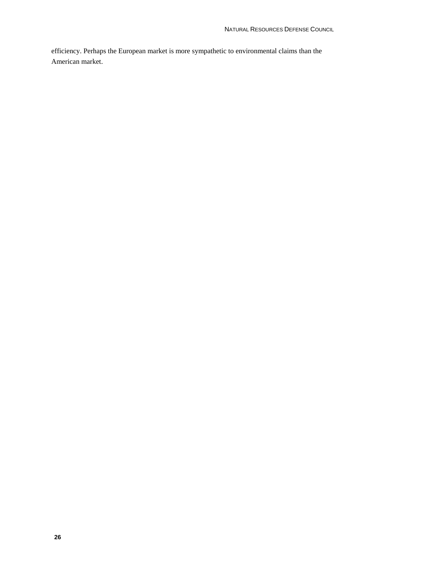efficiency. Perhaps the European market is more sympathetic to environmental claims than the American market.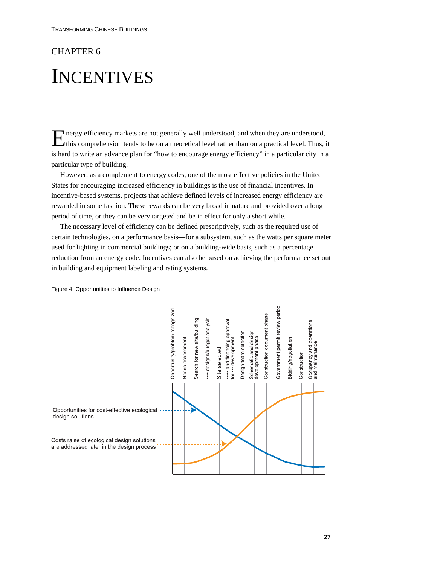### CHAPTER 6

## **INCENTIVES**

nergy efficiency markets are not generally well understood, and when they are understood, this comprehension tends to be on a theoretical level rather than on a practical level. Thus, it is hard to write an advance plan for "how to encourage energy efficiency" in a particular city in a particular type of building. E

However, as a complement to energy codes, one of the most effective policies in the United States for encouraging increased efficiency in buildings is the use of financial incentives. In incentive-based systems, projects that achieve defined levels of increased energy efficiency are rewarded in some fashion. These rewards can be very broad in nature and provided over a long period of time, or they can be very targeted and be in effect for only a short while.

The necessary level of efficiency can be defined prescriptively, such as the required use of certain technologies, on a performance basis—for a subsystem, such as the watts per square meter used for lighting in commercial buildings; or on a building-wide basis, such as a percentage reduction from an energy code. Incentives can also be based on achieving the performance set out in building and equipment labeling and rating systems.



Figure 4: Opportunities to Influence Design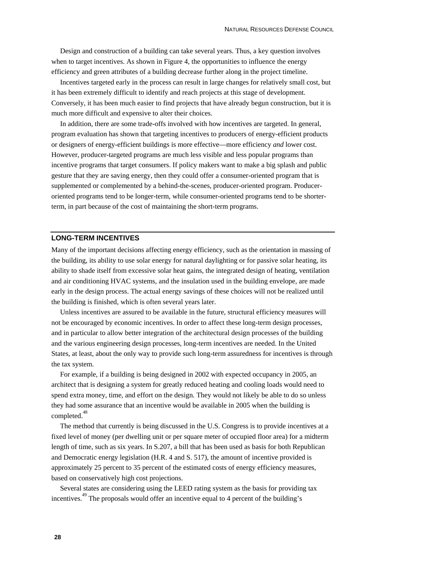Design and construction of a building can take several years. Thus, a key question involves when to target incentives. As shown in Figure 4, the opportunities to influence the energy efficiency and green attributes of a building decrease further along in the project timeline.

Incentives targeted early in the process can result in large changes for relatively small cost, but it has been extremely difficult to identify and reach projects at this stage of development. Conversely, it has been much easier to find projects that have already begun construction, but it is much more difficult and expensive to alter their choices.

In addition, there are some trade-offs involved with how incentives are targeted. In general, program evaluation has shown that targeting incentives to producers of energy-efficient products or designers of energy-efficient buildings is more effective—more efficiency *and* lower cost. However, producer-targeted programs are much less visible and less popular programs than incentive programs that target consumers. If policy makers want to make a big splash and public gesture that they are saving energy, then they could offer a consumer-oriented program that is supplemented or complemented by a behind-the-scenes, producer-oriented program. Produceroriented programs tend to be longer-term, while consumer-oriented programs tend to be shorterterm, in part because of the cost of maintaining the short-term programs.

#### **LONG-TERM INCENTIVES**

Many of the important decisions affecting energy efficiency, such as the orientation in massing of the building, its ability to use solar energy for natural daylighting or for passive solar heating, its ability to shade itself from excessive solar heat gains, the integrated design of heating, ventilation and air conditioning HVAC systems, and the insulation used in the building envelope, are made early in the design process. The actual energy savings of these choices will not be realized until the building is finished, which is often several years later.

Unless incentives are assured to be available in the future, structural efficiency measures will not be encouraged by economic incentives. In order to affect these long-term design processes, and in particular to allow better integration of the architectural design processes of the building and the various engineering design processes, long-term incentives are needed. In the United States, at least, about the only way to provide such long-term assuredness for incentives is through the tax system.

For example, if a building is being designed in 2002 with expected occupancy in 2005, an architect that is designing a system for greatly reduced heating and cooling loads would need to spend extra money, time, and effort on the design. They would not likely be able to do so unless they had some assurance that an incentive would be available in 2005 when the building is completed.<sup>48</sup>

The method that currently is being discussed in the U.S. Congress is to provide incentives at a fixed level of money (per dwelling unit or per square meter of occupied floor area) for a midterm length of time, such as six years. In S.207, a bill that has been used as basis for both Republican and Democratic energy legislation (H.R. 4 and S. 517), the amount of incentive provided is approximately 25 percent to 35 percent of the estimated costs of energy efficiency measures, based on conservatively high cost projections.

Several states are considering using the LEED rating system as the basis for providing tax incentives.<sup>49</sup> The proposals would offer an incentive equal to 4 percent of the building's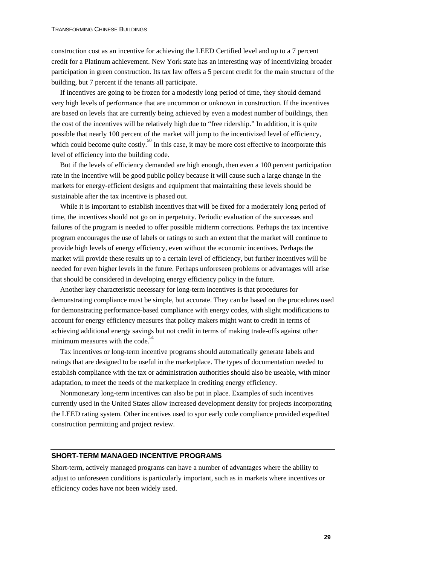construction cost as an incentive for achieving the LEED Certified level and up to a 7 percent credit for a Platinum achievement. New York state has an interesting way of incentivizing broader participation in green construction. Its tax law offers a 5 percent credit for the main structure of the building, but 7 percent if the tenants all participate.

If incentives are going to be frozen for a modestly long period of time, they should demand very high levels of performance that are uncommon or unknown in construction. If the incentives are based on levels that are currently being achieved by even a modest number of buildings, then the cost of the incentives will be relatively high due to "free ridership." In addition, it is quite possible that nearly 100 percent of the market will jump to the incentivized level of efficiency, which could become quite costly.<sup>50</sup> In this case, it may be more cost effective to incorporate this level of efficiency into the building code.

But if the levels of efficiency demanded are high enough, then even a 100 percent participation rate in the incentive will be good public policy because it will cause such a large change in the markets for energy-efficient designs and equipment that maintaining these levels should be sustainable after the tax incentive is phased out.

While it is important to establish incentives that will be fixed for a moderately long period of time, the incentives should not go on in perpetuity. Periodic evaluation of the successes and failures of the program is needed to offer possible midterm corrections. Perhaps the tax incentive program encourages the use of labels or ratings to such an extent that the market will continue to provide high levels of energy efficiency, even without the economic incentives. Perhaps the market will provide these results up to a certain level of efficiency, but further incentives will be needed for even higher levels in the future. Perhaps unforeseen problems or advantages will arise that should be considered in developing energy efficiency policy in the future.

Another key characteristic necessary for long-term incentives is that procedures for demonstrating compliance must be simple, but accurate. They can be based on the procedures used for demonstrating performance-based compliance with energy codes, with slight modifications to account for energy efficiency measures that policy makers might want to credit in terms of achieving additional energy savings but not credit in terms of making trade-offs against other minimum measures with the code.<sup>51</sup>

Tax incentives or long-term incentive programs should automatically generate labels and ratings that are designed to be useful in the marketplace. The types of documentation needed to establish compliance with the tax or administration authorities should also be useable, with minor adaptation, to meet the needs of the marketplace in crediting energy efficiency.

Nonmonetary long-term incentives can also be put in place. Examples of such incentives currently used in the United States allow increased development density for projects incorporating the LEED rating system. Other incentives used to spur early code compliance provided expedited construction permitting and project review.

#### **SHORT-TERM MANAGED INCENTIVE PROGRAMS**

Short-term, actively managed programs can have a number of advantages where the ability to adjust to unforeseen conditions is particularly important, such as in markets where incentives or efficiency codes have not been widely used.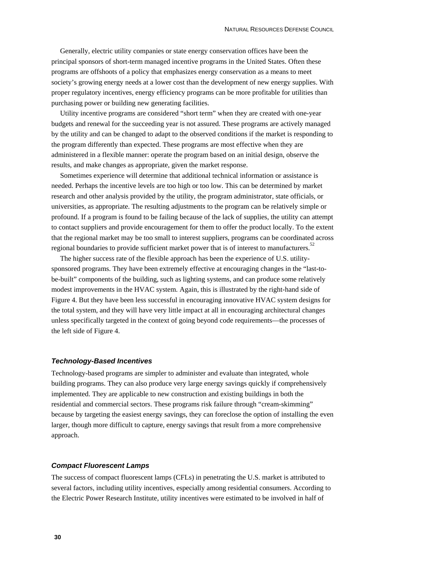Generally, electric utility companies or state energy conservation offices have been the principal sponsors of short-term managed incentive programs in the United States. Often these programs are offshoots of a policy that emphasizes energy conservation as a means to meet society's growing energy needs at a lower cost than the development of new energy supplies. With proper regulatory incentives, energy efficiency programs can be more profitable for utilities than purchasing power or building new generating facilities.

Utility incentive programs are considered "short term" when they are created with one-year budgets and renewal for the succeeding year is not assured. These programs are actively managed by the utility and can be changed to adapt to the observed conditions if the market is responding to the program differently than expected. These programs are most effective when they are administered in a flexible manner: operate the program based on an initial design, observe the results, and make changes as appropriate, given the market response.

Sometimes experience will determine that additional technical information or assistance is needed. Perhaps the incentive levels are too high or too low. This can be determined by market research and other analysis provided by the utility, the program administrator, state officials, or universities, as appropriate. The resulting adjustments to the program can be relatively simple or profound. If a program is found to be failing because of the lack of supplies, the utility can attempt to contact suppliers and provide encouragement for them to offer the product locally. To the extent that the regional market may be too small to interest suppliers, programs can be coordinated across regional boundaries to provide sufficient market power that is of interest to manufacturers.<sup>52</sup>

The higher success rate of the flexible approach has been the experience of U.S. utilitysponsored programs. They have been extremely effective at encouraging changes in the "last-tobe-built" components of the building, such as lighting systems, and can produce some relatively modest improvements in the HVAC system. Again, this is illustrated by the right-hand side of Figure 4. But they have been less successful in encouraging innovative HVAC system designs for the total system, and they will have very little impact at all in encouraging architectural changes unless specifically targeted in the context of going beyond code requirements—the processes of the left side of Figure 4.

#### *Technology-Based Incentives*

Technology-based programs are simpler to administer and evaluate than integrated, whole building programs. They can also produce very large energy savings quickly if comprehensively implemented. They are applicable to new construction and existing buildings in both the residential and commercial sectors. These programs risk failure through "cream-skimming" because by targeting the easiest energy savings, they can foreclose the option of installing the even larger, though more difficult to capture, energy savings that result from a more comprehensive approach.

#### *Compact Fluorescent Lamps*

The success of compact fluorescent lamps (CFLs) in penetrating the U.S. market is attributed to several factors, including utility incentives, especially among residential consumers. According to the Electric Power Research Institute, utility incentives were estimated to be involved in half of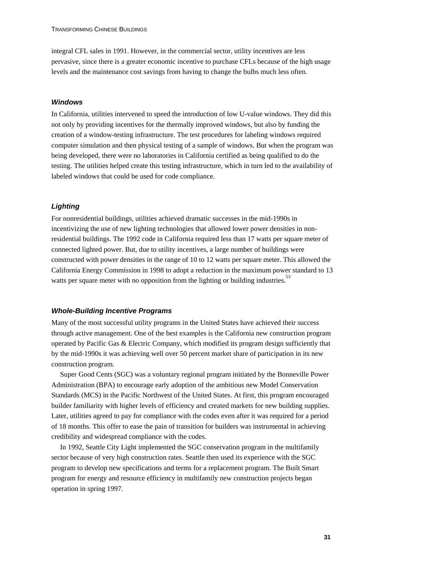integral CFL sales in 1991. However, in the commercial sector, utility incentives are less pervasive, since there is a greater economic incentive to purchase CFLs because of the high usage levels and the maintenance cost savings from having to change the bulbs much less often.

#### *Windows*

In California, utilities intervened to speed the introduction of low U-value windows. They did this not only by providing incentives for the thermally improved windows, but also by funding the creation of a window-testing infrastructure. The test procedures for labeling windows required computer simulation and then physical testing of a sample of windows. But when the program was being developed, there were no laboratories in California certified as being qualified to do the testing. The utilities helped create this testing infrastructure, which in turn led to the availability of labeled windows that could be used for code compliance.

#### *Lighting*

For nonresidential buildings, utilities achieved dramatic successes in the mid-1990s in incentivizing the use of new lighting technologies that allowed lower power densities in nonresidential buildings. The 1992 code in California required less than 17 watts per square meter of connected lighted power. But, due to utility incentives, a large number of buildings were constructed with power densities in the range of 10 to 12 watts per square meter. This allowed the California Energy Commission in 1998 to adopt a reduction in the maximum power standard to 13 watts per square meter with no opposition from the lighting or building industries.<sup>53</sup>

#### *Whole-Building Incentive Programs*

Many of the most successful utility programs in the United States have achieved their success through active management. One of the best examples is the California new construction program operated by Pacific Gas & Electric Company, which modified its program design sufficiently that by the mid-1990s it was achieving well over 50 percent market share of participation in its new construction program.

Super Good Cents (SGC) was a voluntary regional program initiated by the Bonneville Power Administration (BPA) to encourage early adoption of the ambitious new Model Conservation Standards (MCS) in the Pacific Northwest of the United States. At first, this program encouraged builder familiarity with higher levels of efficiency and created markets for new building supplies. Later, utilities agreed to pay for compliance with the codes even after it was required for a period of 18 months. This offer to ease the pain of transition for builders was instrumental in achieving credibility and widespread compliance with the codes.

In 1992, Seattle City Light implemented the SGC conservation program in the multifamily sector because of very high construction rates. Seattle then used its experience with the SGC program to develop new specifications and terms for a replacement program. The Built Smart program for energy and resource efficiency in multifamily new construction projects began operation in spring 1997.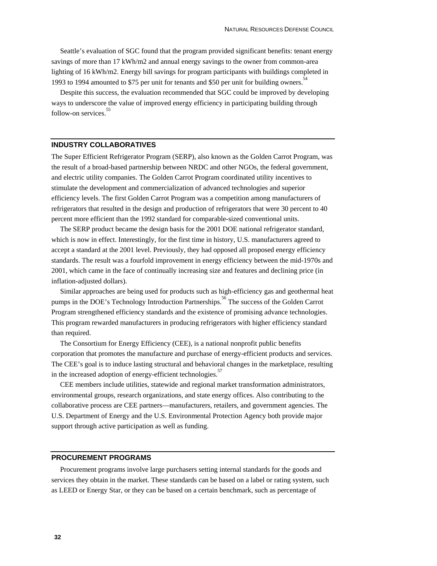Seattle's evaluation of SGC found that the program provided significant benefits: tenant energy savings of more than 17 kWh/m2 and annual energy savings to the owner from common-area lighting of 16 kWh/m2. Energy bill savings for program participants with buildings completed in 1993 to 1994 amounted to \$75 per unit for tenants and \$50 per unit for building owners.<sup>54</sup>

Despite this success, the evaluation recommended that SGC could be improved by developing ways to underscore the value of improved energy efficiency in participating building through follow-on services.<sup>5</sup>

#### **INDUSTRY COLLABORATIVES**

The Super Efficient Refrigerator Program (SERP), also known as the Golden Carrot Program, was the result of a broad-based partnership between NRDC and other NGOs, the federal government, and electric utility companies. The Golden Carrot Program coordinated utility incentives to stimulate the development and commercialization of advanced technologies and superior efficiency levels. The first Golden Carrot Program was a competition among manufacturers of refrigerators that resulted in the design and production of refrigerators that were 30 percent to 40 percent more efficient than the 1992 standard for comparable-sized conventional units.

The SERP product became the design basis for the 2001 DOE national refrigerator standard, which is now in effect. Interestingly, for the first time in history, U.S. manufacturers agreed to accept a standard at the 2001 level. Previously, they had opposed all proposed energy efficiency standards. The result was a fourfold improvement in energy efficiency between the mid-1970s and 2001, which came in the face of continually increasing size and features and declining price (in inflation-adjusted dollars).

Similar approaches are being used for products such as high-efficiency gas and geothermal heat pumps in the DOE's Technology Introduction Partnerships.<sup>56</sup> The success of the Golden Carrot Program strengthened efficiency standards and the existence of promising advance technologies. This program rewarded manufacturers in producing refrigerators with higher efficiency standard than required.

The Consortium for Energy Efficiency (CEE), is a national nonprofit public benefits corporation that promotes the manufacture and purchase of energy-efficient products and services. The CEE's goal is to induce lasting structural and behavioral changes in the marketplace, resulting in the increased adoption of energy-efficient technologies.

CEE members include utilities, statewide and regional market transformation administrators, environmental groups, research organizations, and state energy offices. Also contributing to the collaborative process are CEE partners—manufacturers, retailers, and government agencies. The U.S. Department of Energy and the U.S. Environmental Protection Agency both provide major support through active participation as well as funding.

#### **PROCUREMENT PROGRAMS**

Procurement programs involve large purchasers setting internal standards for the goods and services they obtain in the market. These standards can be based on a label or rating system, such as LEED or Energy Star, or they can be based on a certain benchmark, such as percentage of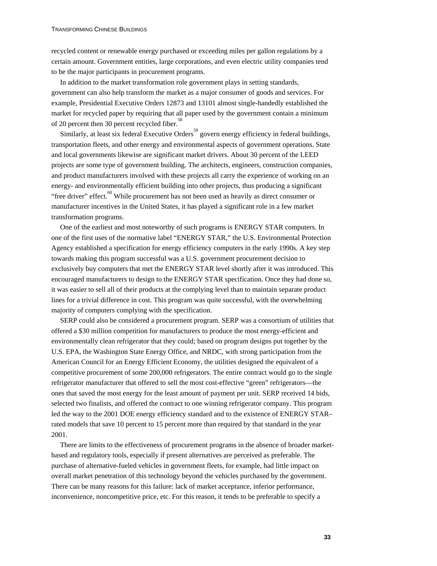recycled content or renewable energy purchased or exceeding miles per gallon regulations by a certain amount. Government entities, large corporations, and even electric utility companies tend to be the major participants in procurement programs.

In addition to the market transformation role government plays in setting standards, government can also help transform the market as a major consumer of goods and services. For example, Presidential Executive Orders 12873 and 13101 almost single-handedly established the market for recycled paper by requiring that all paper used by the government contain a minimum of 20 percent then 30 percent recycled fiber.<sup>58</sup>

Similarly, at least six federal Executive Orders<sup>59</sup> govern energy efficiency in federal buildings, transportation fleets, and other energy and environmental aspects of government operations. State and local governments likewise are significant market drivers. About 30 percent of the LEED projects are some type of government building. The architects, engineers, construction companies, and product manufacturers involved with these projects all carry the experience of working on an energy- and environmentally efficient building into other projects, thus producing a significant "free driver" effect. $60$  While procurement has not been used as heavily as direct consumer or manufacturer incentives in the United States, it has played a significant role in a few market transformation programs.

One of the earliest and most noteworthy of such programs is ENERGY STAR computers. In one of the first uses of the normative label "ENERGY STAR," the U.S. Environmental Protection Agency established a specification for energy efficiency computers in the early 1990s. A key step towards making this program successful was a U.S. government procurement decision to exclusively buy computers that met the ENERGY STAR level shortly after it was introduced. This encouraged manufacturers to design to the ENERGY STAR specification. Once they had done so, it was easier to sell all of their products at the complying level than to maintain separate product lines for a trivial difference in cost. This program was quite successful, with the overwhelming majority of computers complying with the specification.

SERP could also be considered a procurement program. SERP was a consortium of utilities that offered a \$30 million competition for manufacturers to produce the most energy-efficient and environmentally clean refrigerator that they could; based on program designs put together by the U.S. EPA, the Washington State Energy Office, and NRDC, with strong participation from the American Council for an Energy Efficient Economy, the utilities designed the equivalent of a competitive procurement of some 200,000 refrigerators. The entire contract would go to the single refrigerator manufacturer that offered to sell the most cost-effective "green" refrigerators—the ones that saved the most energy for the least amount of payment per unit. SERP received 14 bids, selected two finalists, and offered the contract to one winning refrigerator company. This program led the way to the 2001 DOE energy efficiency standard and to the existence of ENERGY STAR– rated models that save 10 percent to 15 percent more than required by that standard in the year 2001.

There are limits to the effectiveness of procurement programs in the absence of broader marketbased and regulatory tools, especially if present alternatives are perceived as preferable. The purchase of alternative-fueled vehicles in government fleets, for example, had little impact on overall market penetration of this technology beyond the vehicles purchased by the government. There can be many reasons for this failure: lack of market acceptance, inferior performance, inconvenience, noncompetitive price, etc. For this reason, it tends to be preferable to specify a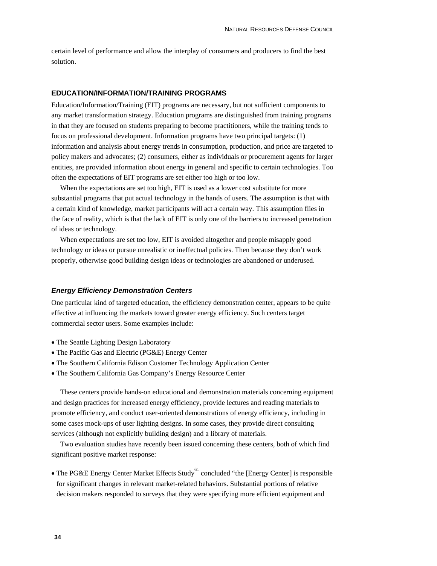certain level of performance and allow the interplay of consumers and producers to find the best solution.

#### **EDUCATION/INFORMATION/TRAINING PROGRAMS**

Education/Information/Training (EIT) programs are necessary, but not sufficient components to any market transformation strategy. Education programs are distinguished from training programs in that they are focused on students preparing to become practitioners, while the training tends to focus on professional development. Information programs have two principal targets: (1) information and analysis about energy trends in consumption, production, and price are targeted to policy makers and advocates; (2) consumers, either as individuals or procurement agents for larger entities, are provided information about energy in general and specific to certain technologies. Too often the expectations of EIT programs are set either too high or too low.

When the expectations are set too high, EIT is used as a lower cost substitute for more substantial programs that put actual technology in the hands of users. The assumption is that with a certain kind of knowledge, market participants will act a certain way. This assumption flies in the face of reality, which is that the lack of EIT is only one of the barriers to increased penetration of ideas or technology.

When expectations are set too low, EIT is avoided altogether and people misapply good technology or ideas or pursue unrealistic or ineffectual policies. Then because they don't work properly, otherwise good building design ideas or technologies are abandoned or underused.

#### *Energy Efficiency Demonstration Centers*

One particular kind of targeted education, the efficiency demonstration center, appears to be quite effective at influencing the markets toward greater energy efficiency. Such centers target commercial sector users. Some examples include:

- The Seattle Lighting Design Laboratory
- The Pacific Gas and Electric (PG&E) Energy Center
- The Southern California Edison Customer Technology Application Center
- The Southern California Gas Company's Energy Resource Center

These centers provide hands-on educational and demonstration materials concerning equipment and design practices for increased energy efficiency, provide lectures and reading materials to promote efficiency, and conduct user-oriented demonstrations of energy efficiency, including in some cases mock-ups of user lighting designs. In some cases, they provide direct consulting services (although not explicitly building design) and a library of materials.

Two evaluation studies have recently been issued concerning these centers, both of which find significant positive market response:

• The PG&E Energy Center Market Effects Study<sup>61</sup> concluded "the [Energy Center] is responsible for significant changes in relevant market-related behaviors. Substantial portions of relative decision makers responded to surveys that they were specifying more efficient equipment and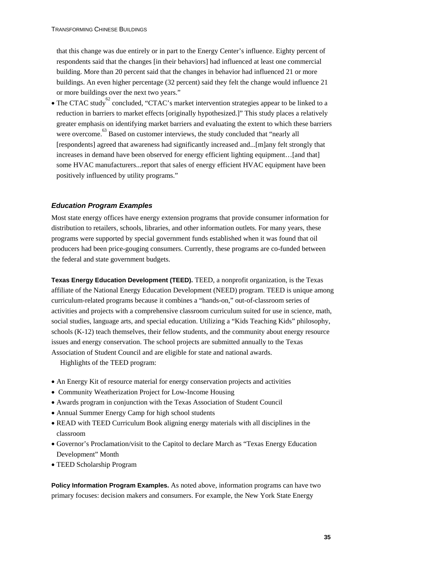that this change was due entirely or in part to the Energy Center's influence. Eighty percent of respondents said that the changes [in their behaviors] had influenced at least one commercial building. More than 20 percent said that the changes in behavior had influenced 21 or more buildings. An even higher percentage (32 percent) said they felt the change would influence 21 or more buildings over the next two years."

• The CTAC study<sup>62</sup> concluded, "CTAC's market intervention strategies appear to be linked to a reduction in barriers to market effects [originally hypothesized.]" This study places a relatively greater emphasis on identifying market barriers and evaluating the extent to which these barriers were overcome.<sup>63</sup> Based on customer interviews, the study concluded that "nearly all [respondents] agreed that awareness had significantly increased and...[m]any felt strongly that increases in demand have been observed for energy efficient lighting equipment...[and that] some HVAC manufacturers...report that sales of energy efficient HVAC equipment have been positively influenced by utility programs."

#### *Education Program Examples*

Most state energy offices have energy extension programs that provide consumer information for distribution to retailers, schools, libraries, and other information outlets. For many years, these programs were supported by special government funds established when it was found that oil producers had been price-gouging consumers. Currently, these programs are co-funded between the federal and state government budgets.

**Texas Energy Education Development (TEED).** TEED, a nonprofit organization, is the Texas affiliate of the National Energy Education Development (NEED) program. TEED is unique among curriculum-related programs because it combines a "hands-on," out-of-classroom series of activities and projects with a comprehensive classroom curriculum suited for use in science, math, social studies, language arts, and special education. Utilizing a "Kids Teaching Kids" philosophy, schools (K-12) teach themselves, their fellow students, and the community about energy resource issues and energy conservation. The school projects are submitted annually to the Texas Association of Student Council and are eligible for state and national awards.

Highlights of the TEED program:

- An Energy Kit of resource material for energy conservation projects and activities
- Community Weatherization Project for Low-Income Housing
- Awards program in conjunction with the Texas Association of Student Council
- Annual Summer Energy Camp for high school students
- READ with TEED Curriculum Book aligning energy materials with all disciplines in the classroom
- Governor's Proclamation/visit to the Capitol to declare March as "Texas Energy Education Development" Month
- TEED Scholarship Program

**Policy Information Program Examples.** As noted above, information programs can have two primary focuses: decision makers and consumers. For example, the New York State Energy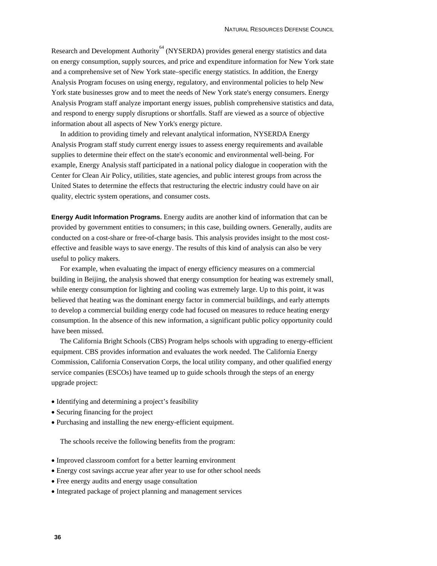Research and Development Authority<sup>64</sup> (NYSERDA) provides general energy statistics and data on energy consumption, supply sources, and price and expenditure information for New York state and a comprehensive set of New York state–specific energy statistics. In addition, the Energy Analysis Program focuses on using energy, regulatory, and environmental policies to help New York state businesses grow and to meet the needs of New York state's energy consumers. Energy Analysis Program staff analyze important energy issues, publish comprehensive statistics and data, and respond to energy supply disruptions or shortfalls. Staff are viewed as a source of objective information about all aspects of New York's energy picture.

In addition to providing timely and relevant analytical information, NYSERDA Energy Analysis Program staff study current energy issues to assess energy requirements and available supplies to determine their effect on the state's economic and environmental well-being. For example, Energy Analysis staff participated in a national policy dialogue in cooperation with the Center for Clean Air Policy, utilities, state agencies, and public interest groups from across the United States to determine the effects that restructuring the electric industry could have on air quality, electric system operations, and consumer costs.

**Energy Audit Information Programs.** Energy audits are another kind of information that can be provided by government entities to consumers; in this case, building owners. Generally, audits are conducted on a cost-share or free-of-charge basis. This analysis provides insight to the most costeffective and feasible ways to save energy. The results of this kind of analysis can also be very useful to policy makers.

For example, when evaluating the impact of energy efficiency measures on a commercial building in Beijing, the analysis showed that energy consumption for heating was extremely small, while energy consumption for lighting and cooling was extremely large. Up to this point, it was believed that heating was the dominant energy factor in commercial buildings, and early attempts to develop a commercial building energy code had focused on measures to reduce heating energy consumption. In the absence of this new information, a significant public policy opportunity could have been missed.

The California Bright Schools (CBS) Program helps schools with upgrading to energy-efficient equipment. CBS provides information and evaluates the work needed. The California Energy Commission, California Conservation Corps, the local utility company, and other qualified energy service companies (ESCOs) have teamed up to guide schools through the steps of an energy upgrade project:

- Identifying and determining a project's feasibility
- Securing financing for the project
- Purchasing and installing the new energy-efficient equipment.

The schools receive the following benefits from the program:

- Improved classroom comfort for a better learning environment
- Energy cost savings accrue year after year to use for other school needs
- Free energy audits and energy usage consultation
- Integrated package of project planning and management services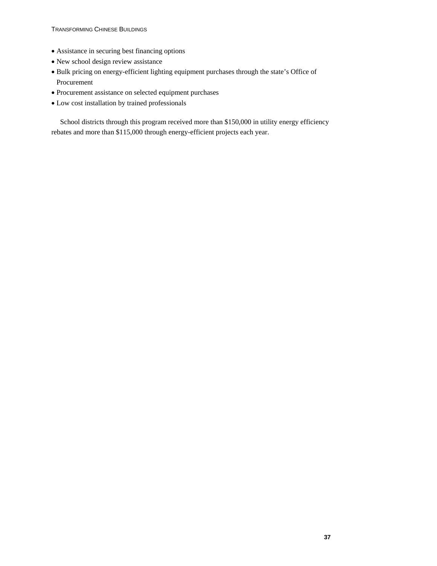- Assistance in securing best financing options
- New school design review assistance
- Bulk pricing on energy-efficient lighting equipment purchases through the state's Office of Procurement
- Procurement assistance on selected equipment purchases
- Low cost installation by trained professionals

School districts through this program received more than \$150,000 in utility energy efficiency rebates and more than \$115,000 through energy-efficient projects each year.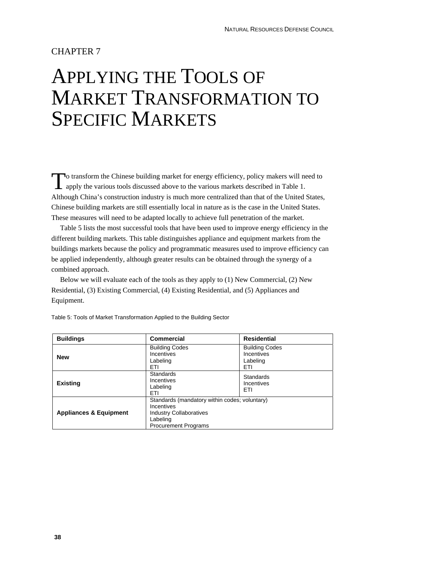### CHAPTER 7

## APPLYING THE TOOLS OF MARKET TRANSFORMATION TO SPECIFIC MARKETS

o transform the Chinese building market for energy efficiency, policy makers will need to apply the various tools discussed above to the various markets described in Table 1. Although China's construction industry is much more centralized than that of the United States, Chinese building markets are still essentially local in nature as is the case in the United States. These measures will need to be adapted locally to achieve full penetration of the market. T

Table 5 lists the most successful tools that have been used to improve energy efficiency in the different building markets. This table distinguishes appliance and equipment markets from the buildings markets because the policy and programmatic measures used to improve efficiency can be applied independently, although greater results can be obtained through the synergy of a combined approach.

Below we will evaluate each of the tools as they apply to (1) New Commercial, (2) New Residential, (3) Existing Commercial, (4) Existing Residential, and (5) Appliances and Equipment.

| <b>Buildings</b>                  | <b>Commercial</b>                                                                                                                        | Residential                                            |
|-----------------------------------|------------------------------------------------------------------------------------------------------------------------------------------|--------------------------------------------------------|
| <b>New</b>                        | <b>Building Codes</b><br>Incentives<br>Labeling<br>ETI                                                                                   | <b>Building Codes</b><br>Incentives<br>Labeling<br>ETI |
| <b>Existing</b>                   | <b>Standards</b><br>Incentives<br>Labeling<br>ETI                                                                                        | <b>Standards</b><br>Incentives<br>ETI                  |
| <b>Appliances &amp; Equipment</b> | Standards (mandatory within codes; voluntary)<br>Incentives<br><b>Industry Collaboratives</b><br>Labeling<br><b>Procurement Programs</b> |                                                        |

Table 5: Tools of Market Transformation Applied to the Building Sector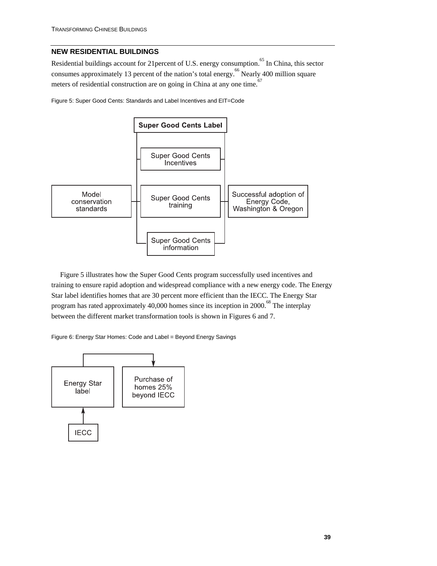### **NEW RESIDENTIAL BUILDINGS**

Residential buildings account for 21 percent of U.S. energy consumption.<sup>65</sup> In China, this sector consumes approximately 13 percent of the nation's total energy.<sup>66</sup> Nearly 400 million square meters of residential construction are on going in China at any one time.<sup>67</sup>

Figure 5: Super Good Cents: Standards and Label Incentives and EIT=Code



Figure 5 illustrates how the Super Good Cents program successfully used incentives and training to ensure rapid adoption and widespread compliance with a new energy code. The Energy Star label identifies homes that are 30 percent more efficient than the IECC. The Energy Star program has rated approximately 40,000 homes since its inception in 2000.<sup>68</sup> The interplay between the different market transformation tools is shown in Figures 6 and 7.

Figure 6: Energy Star Homes: Code and Label = Beyond Energy Savings

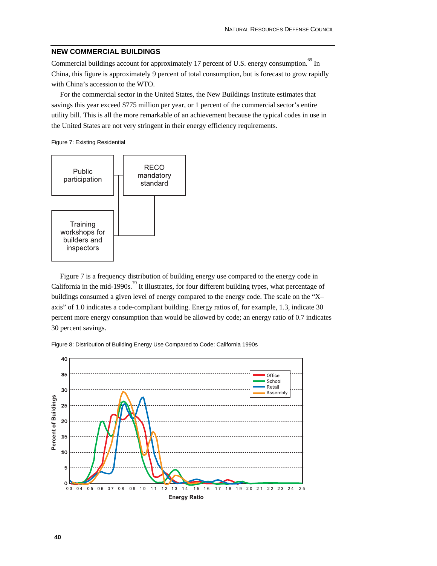#### **NEW COMMERCIAL BUILDINGS**

Commercial buildings account for approximately 17 percent of U.S. energy consumption.<sup>69</sup> In China, this figure is approximately 9 percent of total consumption, but is forecast to grow rapidly with China's accession to the WTO.

For the commercial sector in the United States, the New Buildings Institute estimates that savings this year exceed \$775 million per year, or 1 percent of the commercial sector's entire utility bill. This is all the more remarkable of an achievement because the typical codes in use in the United States are not very stringent in their energy efficiency requirements.

Figure 7: Existing Residential



Figure 7 is a frequency distribution of building energy use compared to the energy code in California in the mid-1990s.<sup>70</sup> It illustrates, for four different building types, what percentage of buildings consumed a given level of energy compared to the energy code. The scale on the "X– axis" of 1.0 indicates a code-compliant building. Energy ratios of, for example, 1.3, indicate 30 percent more energy consumption than would be allowed by code; an energy ratio of 0.7 indicates 30 percent savings.

Figure 8: Distribution of Building Energy Use Compared to Code: California 1990s

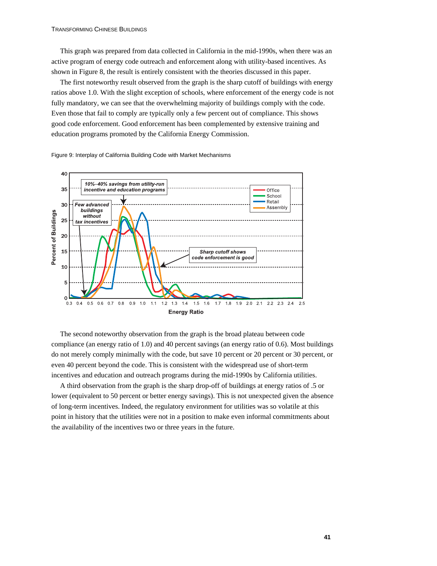This graph was prepared from data collected in California in the mid-1990s, when there was an active program of energy code outreach and enforcement along with utility-based incentives. As shown in Figure 8, the result is entirely consistent with the theories discussed in this paper.

The first noteworthy result observed from the graph is the sharp cutoff of buildings with energy ratios above 1.0. With the slight exception of schools, where enforcement of the energy code is not fully mandatory, we can see that the overwhelming majority of buildings comply with the code. Even those that fail to comply are typically only a few percent out of compliance. This shows good code enforcement. Good enforcement has been complemented by extensive training and education programs promoted by the California Energy Commission.

Figure 9: Interplay of California Building Code with Market Mechanisms



The second noteworthy observation from the graph is the broad plateau between code compliance (an energy ratio of 1.0) and 40 percent savings (an energy ratio of 0.6). Most buildings do not merely comply minimally with the code, but save 10 percent or 20 percent or 30 percent, or even 40 percent beyond the code. This is consistent with the widespread use of short-term incentives and education and outreach programs during the mid-1990s by California utilities.

A third observation from the graph is the sharp drop-off of buildings at energy ratios of .5 or lower (equivalent to 50 percent or better energy savings). This is not unexpected given the absence of long-term incentives. Indeed, the regulatory environment for utilities was so volatile at this point in history that the utilities were not in a position to make even informal commitments about the availability of the incentives two or three years in the future.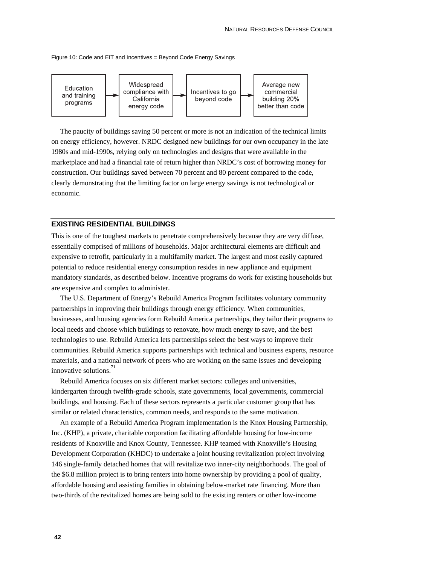Figure 10: Code and EIT and Incentives = Beyond Code Energy Savings



The paucity of buildings saving 50 percent or more is not an indication of the technical limits on energy efficiency, however. NRDC designed new buildings for our own occupancy in the late 1980s and mid-1990s, relying only on technologies and designs that were available in the marketplace and had a financial rate of return higher than NRDC's cost of borrowing money for construction. Our buildings saved between 70 percent and 80 percent compared to the code, clearly demonstrating that the limiting factor on large energy savings is not technological or economic.

#### **EXISTING RESIDENTIAL BUILDINGS**

This is one of the toughest markets to penetrate comprehensively because they are very diffuse, essentially comprised of millions of households. Major architectural elements are difficult and expensive to retrofit, particularly in a multifamily market. The largest and most easily captured potential to reduce residential energy consumption resides in new appliance and equipment mandatory standards, as described below. Incentive programs do work for existing households but are expensive and complex to administer.

The U.S. Department of Energy's Rebuild America Program facilitates voluntary community partnerships in improving their buildings through energy efficiency. When communities, businesses, and housing agencies form Rebuild America partnerships, they tailor their programs to local needs and choose which buildings to renovate, how much energy to save, and the best technologies to use. Rebuild America lets partnerships select the best ways to improve their communities. Rebuild America supports partnerships with technical and business experts, resource materials, and a national network of peers who are working on the same issues and developing innovative solutions.<sup>71</sup>

Rebuild America focuses on six different market sectors: colleges and universities, kindergarten through twelfth-grade schools, state governments, local governments, commercial buildings, and housing. Each of these sectors represents a particular customer group that has similar or related characteristics, common needs, and responds to the same motivation.

An example of a Rebuild America Program implementation is the Knox Housing Partnership, Inc. (KHP), a private, charitable corporation facilitating affordable housing for low-income residents of Knoxville and Knox County, Tennessee. KHP teamed with Knoxville's Housing Development Corporation (KHDC) to undertake a joint housing revitalization project involving 146 single-family detached homes that will revitalize two inner-city neighborhoods. The goal of the \$6.8 million project is to bring renters into home ownership by providing a pool of quality, affordable housing and assisting families in obtaining below-market rate financing. More than two-thirds of the revitalized homes are being sold to the existing renters or other low-income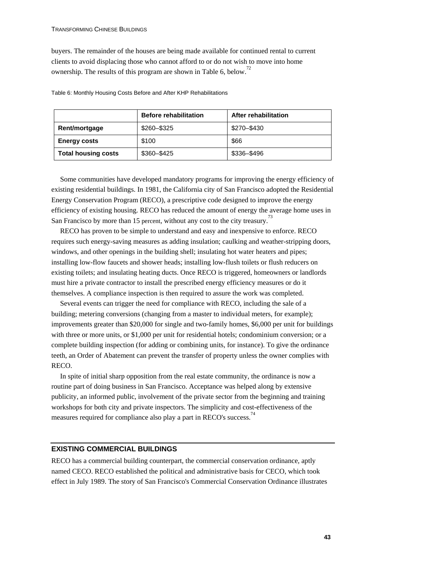buyers. The remainder of the houses are being made available for continued rental to current clients to avoid displacing those who cannot afford to or do not wish to move into home ownership. The results of this program are shown in Table 6, below.<sup>72</sup>

Table 6: Monthly Housing Costs Before and After KHP Rehabilitations

|                            | <b>Before rehabilitation</b> | After rehabilitation |
|----------------------------|------------------------------|----------------------|
| Rent/mortgage              | \$260-\$325                  | \$270-\$430          |
| <b>Energy costs</b>        | \$100                        | \$66                 |
| <b>Total housing costs</b> | \$360-\$425                  | \$336-\$496          |

Some communities have developed mandatory programs for improving the energy efficiency of existing residential buildings. In 1981, the California city of San Francisco adopted the Residential Energy Conservation Program (RECO), a prescriptive code designed to improve the energy efficiency of existing housing. RECO has reduced the amount of energy the average home uses in San Francisco by more than 15 percent, without any cost to the city treasury.<sup>73</sup>

RECO has proven to be simple to understand and easy and inexpensive to enforce. RECO requires such energy-saving measures as adding insulation; caulking and weather-stripping doors, windows, and other openings in the building shell; insulating hot water heaters and pipes; installing low-flow faucets and shower heads; installing low-flush toilets or flush reducers on existing toilets; and insulating heating ducts. Once RECO is triggered, homeowners or landlords must hire a private contractor to install the prescribed energy efficiency measures or do it themselves. A compliance inspection is then required to assure the work was completed.

Several events can trigger the need for compliance with RECO, including the sale of a building; metering conversions (changing from a master to individual meters, for example); improvements greater than \$20,000 for single and two-family homes, \$6,000 per unit for buildings with three or more units, or \$1,000 per unit for residential hotels; condominium conversion; or a complete building inspection (for adding or combining units, for instance). To give the ordinance teeth, an Order of Abatement can prevent the transfer of property unless the owner complies with RECO.

In spite of initial sharp opposition from the real estate community, the ordinance is now a routine part of doing business in San Francisco. Acceptance was helped along by extensive publicity, an informed public, involvement of the private sector from the beginning and training workshops for both city and private inspectors. The simplicity and cost-effectiveness of the measures required for compliance also play a part in RECO's success.<sup>74</sup>

#### **EXISTING COMMERCIAL BUILDINGS**

RECO has a commercial building counterpart, the commercial conservation ordinance, aptly named CECO. RECO established the political and administrative basis for CECO, which took effect in July 1989. The story of San Francisco's Commercial Conservation Ordinance illustrates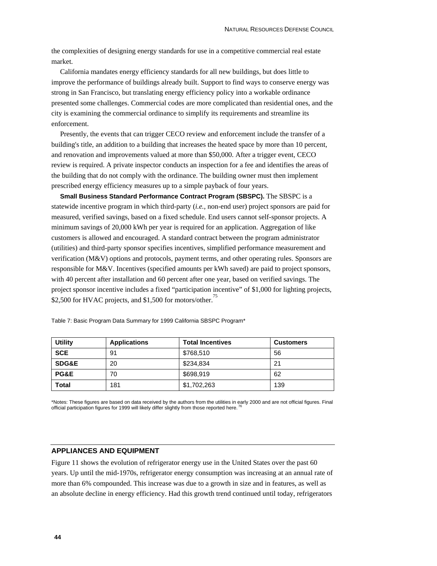the complexities of designing energy standards for use in a competitive commercial real estate market.

California mandates energy efficiency standards for all new buildings, but does little to improve the performance of buildings already built. Support to find ways to conserve energy was strong in San Francisco, but translating energy efficiency policy into a workable ordinance presented some challenges. Commercial codes are more complicated than residential ones, and the city is examining the commercial ordinance to simplify its requirements and streamline its enforcement.

Presently, the events that can trigger CECO review and enforcement include the transfer of a building's title, an addition to a building that increases the heated space by more than 10 percent, and renovation and improvements valued at more than \$50,000. After a trigger event, CECO review is required. A private inspector conducts an inspection for a fee and identifies the areas of the building that do not comply with the ordinance. The building owner must then implement prescribed energy efficiency measures up to a simple payback of four years.

**Small Business Standard Performance Contract Program (SBSPC).** The SBSPC is a statewide incentive program in which third-party (*i.e.*, non-end user) project sponsors are paid for measured, verified savings, based on a fixed schedule. End users cannot self-sponsor projects. A minimum savings of 20,000 kWh per year is required for an application. Aggregation of like customers is allowed and encouraged. A standard contract between the program administrator (utilities) and third-party sponsor specifies incentives, simplified performance measurement and verification (M&V) options and protocols, payment terms, and other operating rules. Sponsors are responsible for M&V. Incentives (specified amounts per kWh saved) are paid to project sponsors, with 40 percent after installation and 60 percent after one year, based on verified savings. The project sponsor incentive includes a fixed "participation incentive" of \$1,000 for lighting projects, \$2,500 for HVAC projects, and \$1,500 for motors/other.<sup>75</sup>

| <b>Utility</b>   | <b>Applications</b> | <b>Total Incentives</b> | <b>Customers</b> |
|------------------|---------------------|-------------------------|------------------|
| <b>SCE</b>       | 91                  | \$768,510               | 56               |
| <b>SDG&amp;E</b> | 20                  | \$234.834               | 21               |
| PG&E             | 70                  | \$698,919               | 62               |
| Total            | 181                 | \$1,702,263             | 139              |

Table 7: Basic Program Data Summary for 1999 California SBSPC Program\*

\*Notes: These figures are based on data received by the authors from the utilities in early 2000 and are not official figures. Final official participation figures for 1999 will likely differ slightly from those reported here.

#### **APPLIANCES AND EQUIPMENT**

Figure 11 shows the evolution of refrigerator energy use in the United States over the past 60 years. Up until the mid-1970s, refrigerator energy consumption was increasing at an annual rate of more than 6% compounded. This increase was due to a growth in size and in features, as well as an absolute decline in energy efficiency. Had this growth trend continued until today, refrigerators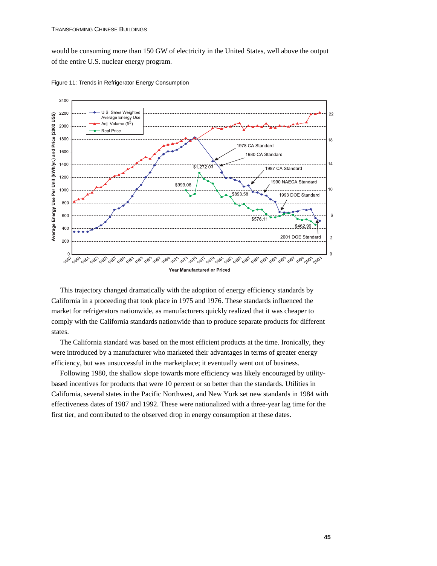would be consuming more than 150 GW of electricity in the United States, well above the output of the entire U.S. nuclear energy program.



Figure 11: Trends in Refrigerator Energy Consumption

This trajectory changed dramatically with the adoption of energy efficiency standards by California in a proceeding that took place in 1975 and 1976. These standards influenced the market for refrigerators nationwide, as manufacturers quickly realized that it was cheaper to comply with the California standards nationwide than to produce separate products for different states.

The California standard was based on the most efficient products at the time. Ironically, they were introduced by a manufacturer who marketed their advantages in terms of greater energy efficiency, but was unsuccessful in the marketplace; it eventually went out of business.

Following 1980, the shallow slope towards more efficiency was likely encouraged by utilitybased incentives for products that were 10 percent or so better than the standards. Utilities in California, several states in the Pacific Northwest, and New York set new standards in 1984 with effectiveness dates of 1987 and 1992. These were nationalized with a three-year lag time for the first tier, and contributed to the observed drop in energy consumption at these dates.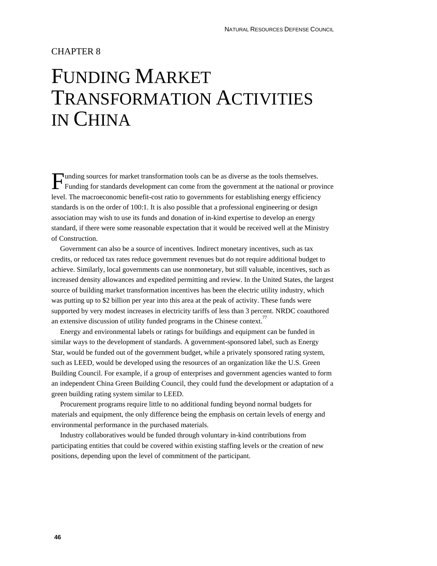### CHAPTER 8

## FUNDING MARKET TRANSFORMATION ACTIVITIES IN CHINA

Funding sources for market transformation tools can be as diverse as the tools themselves.<br>Funding for standards development can come from the government at the national or prov Funding for standards development can come from the government at the national or province level. The macroeconomic benefit-cost ratio to governments for establishing energy efficiency standards is on the order of 100:1. It is also possible that a professional engineering or design association may wish to use its funds and donation of in-kind expertise to develop an energy standard, if there were some reasonable expectation that it would be received well at the Ministry of Construction.

Government can also be a source of incentives. Indirect monetary incentives, such as tax credits, or reduced tax rates reduce government revenues but do not require additional budget to achieve. Similarly, local governments can use nonmonetary, but still valuable, incentives, such as increased density allowances and expedited permitting and review. In the United States, the largest source of building market transformation incentives has been the electric utility industry, which was putting up to \$2 billion per year into this area at the peak of activity. These funds were supported by very modest increases in electricity tariffs of less than 3 percent. NRDC coauthored an extensive discussion of utility funded programs in the Chinese context.<sup>77</sup>

Energy and environmental labels or ratings for buildings and equipment can be funded in similar ways to the development of standards. A government-sponsored label, such as Energy Star, would be funded out of the government budget, while a privately sponsored rating system, such as LEED, would be developed using the resources of an organization like the U.S. Green Building Council. For example, if a group of enterprises and government agencies wanted to form an independent China Green Building Council, they could fund the development or adaptation of a green building rating system similar to LEED.

Procurement programs require little to no additional funding beyond normal budgets for materials and equipment, the only difference being the emphasis on certain levels of energy and environmental performance in the purchased materials.

Industry collaboratives would be funded through voluntary in-kind contributions from participating entities that could be covered within existing staffing levels or the creation of new positions, depending upon the level of commitment of the participant.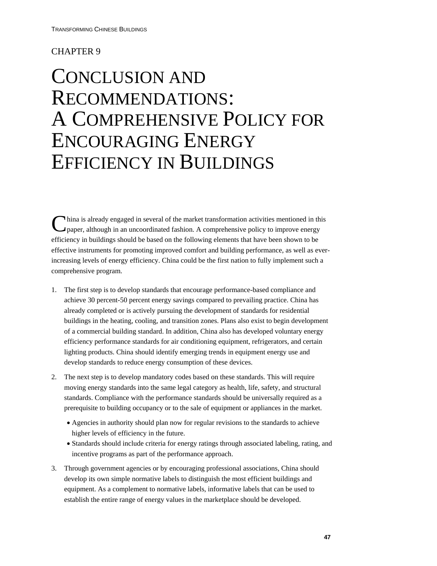## CHAPTER 9

## CONCLUSION AND RECOMMENDATIONS: A COMPREHENSIVE POLICY FOR ENCOURAGING ENERGY EFFICIENCY IN BUILDINGS

hina is already engaged in several of the market transformation activities mentioned in this China is already engaged in several of the market transformation activities mentioned in the paper, although in an uncoordinated fashion. A comprehensive policy to improve energy efficiency in buildings should be based on the following elements that have been shown to be effective instruments for promoting improved comfort and building performance, as well as everincreasing levels of energy efficiency. China could be the first nation to fully implement such a comprehensive program.

- 1. The first step is to develop standards that encourage performance-based compliance and achieve 30 percent-50 percent energy savings compared to prevailing practice. China has already completed or is actively pursuing the development of standards for residential buildings in the heating, cooling, and transition zones. Plans also exist to begin development of a commercial building standard. In addition, China also has developed voluntary energy efficiency performance standards for air conditioning equipment, refrigerators, and certain lighting products. China should identify emerging trends in equipment energy use and develop standards to reduce energy consumption of these devices.
- 2. The next step is to develop mandatory codes based on these standards. This will require moving energy standards into the same legal category as health, life, safety, and structural standards. Compliance with the performance standards should be universally required as a prerequisite to building occupancy or to the sale of equipment or appliances in the market.
	- Agencies in authority should plan now for regular revisions to the standards to achieve higher levels of efficiency in the future.
	- Standards should include criteria for energy ratings through associated labeling, rating, and incentive programs as part of the performance approach.
- 3. Through government agencies or by encouraging professional associations, China should develop its own simple normative labels to distinguish the most efficient buildings and equipment. As a complement to normative labels, informative labels that can be used to establish the entire range of energy values in the marketplace should be developed.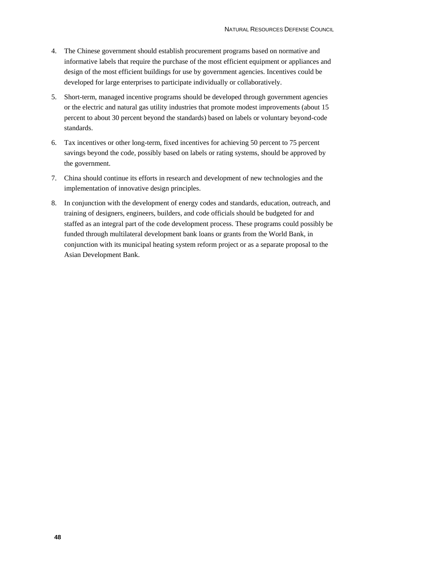- 4. The Chinese government should establish procurement programs based on normative and informative labels that require the purchase of the most efficient equipment or appliances and design of the most efficient buildings for use by government agencies. Incentives could be developed for large enterprises to participate individually or collaboratively.
- 5. Short-term, managed incentive programs should be developed through government agencies or the electric and natural gas utility industries that promote modest improvements (about 15 percent to about 30 percent beyond the standards) based on labels or voluntary beyond-code standards.
- 6. Tax incentives or other long-term, fixed incentives for achieving 50 percent to 75 percent savings beyond the code, possibly based on labels or rating systems, should be approved by the government.
- 7. China should continue its efforts in research and development of new technologies and the implementation of innovative design principles.
- 8. In conjunction with the development of energy codes and standards, education, outreach, and training of designers, engineers, builders, and code officials should be budgeted for and staffed as an integral part of the code development process. These programs could possibly be funded through multilateral development bank loans or grants from the World Bank, in conjunction with its municipal heating system reform project or as a separate proposal to the Asian Development Bank.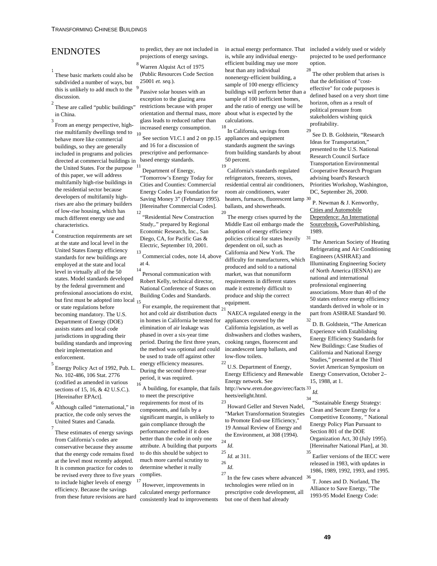### ENDNOTES

- 1 These basic markets could also be subdivided a number of ways, but this is unlikely to add much to the  $9$ discussion.
- 2 These are called "public buildings" in China.
- 3 From an energy perspective, highrise multifamily dwellings tend to 10 behave more like commercial buildings, so they are generally included in programs and policies directed at commercial buildings in based energy standards. the United States. For the purpose of this paper, we will address multifamily high-rise buildings in the residential sector because developers of multifamily highrises are also the primary builders of low-rise housing, which has much different energy use and characteristics.

4 Construction requirements are set at the state and local level in the United States Energy efficiency standards for new buildings are employed at the state and local level in virtually all of the 50 states. Model standards developed by the federal government and professional associations do exist, but first must be adopted into local  $\overline{15}$ or state regulations before becoming mandatory. The U.S. Department of Energy (DOE) assists states and local code jurisdictions in upgrading their building standards and improving their implementation and enforcement.

- 5 Energy Policy Act of 1992, Pub. L. No. 102-486, 106 Stat. 2776 (codified as amended in various sections of 15, 16, & 42 U.S.C.). [Hereinafter EPAct].
- 6 Although called "international," in practice, the code only serves the United States and Canada.
- 7 These estimates of energy savings from California's codes are conservative because they assume that the energy code remains fixed at the level most recently adopted. It is common practice for codes to be revised every three to five years to include higher levels of energy efficiency. Because the savings from these future revisions are hard

to predict, they are not included in projections of energy savings.

8 Warren Alquist Act of 1975 (Public Resources Code Section 25001 *et. seq.*).

 Passive solar houses with an exception to the glazing area restrictions because with proper orientation and thermal mass, more glass leads to reduced rather than increased energy consumption.

See section VI.C.1 and 2 on pp.15 appliances and equipment and 16 for a discussion of prescriptive and performance-

Department of Energy, "Tomorrow's Energy Today for Cities and Counties: Commercial Energy Codes Lay Foundation for Saving Money 3" (February 1995). [Hereinafter Commercial Codes].

12 "Residential New Construction Study,." prepared by Regional Economic Research, Inc., San Diego, CA, for Pacific Gas & Electric, September 10, 2001. 13

 Commercial codes, note 14, above at 4.

<sup>14</sup> Personal communication with Robert Kelly, technical director, National Conference of States on Building Codes and Standards.

For example, the requirement that  $\frac{1}{21}$ hot and cold air distribution ducts in homes in California be tested for elimination of air leakage was phased in over a six-year time period. During the first three years, the method was optional and could be used to trade off against other energy efficiency measures. During the second three-year period, it was required.

16 A building, for example, that fails to meet the prescriptive requirements for most of its components, and fails by a significant margin, is unlikely to gain compliance through the performance method if it does better than the code in only one attribute. A building that purports to do this should be subject to much more careful scrutiny to determine whether it really complies.

17 However, improvements in calculated energy performance consistently lead to improvements is, while any individual energyefficient building may use more heat than any individual nonenergy-efficient building, a sample of 100 energy efficiency buildings will perform better than a sample of 100 inefficient homes, and the ratio of energy use will be about what is expected by the calculations.

18 In California, savings from standards augment the savings from building standards by about 50 percent. 19

 California's standards regulated refrigerators, freezers, stoves, residential central air conditioners, room air conditioners, water heaters, furnaces, fluorescent lamp 30 ballasts, and showerheads.

20 The energy crises spurred by the Middle East oil embargo made the adoption of energy efficiency policies critical for states heavily dependent on oil, such as California and New York. The difficulty for manufacturers, which produced and sold to a national market, was that nonuniform requirements in different states made it extremely difficult to produce and ship the correct equipment.

NAECA regulated energy in the appliances covered by the California legislation, as well as dishwashers and clothes washers, cooking ranges, fluorescent and incandescent lamp ballasts, and low-flow toilets.

 $22$  U.S. Department of Energy, Energy Efficiency and Renewable Energy network. See

http://www.eren.doe.gov/erec/facts <sup>33</sup> *Id.* heets/eelight.html.

23 Howard Geller and Steven Nadel, "Market Transformation Strategies to Promote End-use Efficiency," 19 Annual Review of Energy and the Environment, at 308 (1994). <sup>24</sup> *Id.*

```
25 Id. at 311. 
26 Id.
```
27 In the few cases where advanced technologies were relied on in prescriptive code development, all but one of them had already

in actual energy performance. That included a widely used or widely projected to be used performance option.

The other problem that arises is that the definition of "costeffective" for code purposes is defined based on a very short time horizon, often as a result of political pressure from stakeholders wishing quick profitability.

29 See D. B. Goldstein, "Research Ideas for Transportation," presented to the U.S. National Research Council Surface Transportation Environmental Cooperative Research Program advising board's Research Priorities Workshop, Washington, DC, September 26, 2000.

P. Newman & J. Kenworthy, Cities and Automobile Dependence: An International Sourcebook, GoverPublishing, 1989.

31 The American Society of Heating Refrigerating and Air Conditioning Engineers (ASHRAE) and Illuminating Engineering Society of North America (IESNA) are national and international professional engineering associations. More than 40 of the 50 states enforce energy efficiency standards derived in whole or in part from ASHRAE Standard 90.

32 D. B. Goldstein, "The American Experience with Establishing Energy Efficiency Standards for New Buildings: Case Studies of California and National Energy Studies," presented at the Third Soviet American Symposium on Energy Conservation, October 2– 15, 1988, at 1.

34 "Sustainable Energy Strategy: Clean and Secure Energy for a Competitive Economy, " National Energy Policy Plan Pursuant to Section 801 of the DOE Organization Act, 30 (July 1995). [Hereinafter National Plan], at 30.

35 Earlier versions of the IECC were released in 1983, with updates in 1986, 1989, 1992, 1993, and 1995.

T. Jones and D. Norland, The Alliance to Save Energy, "The 1993-95 Model Energy Code: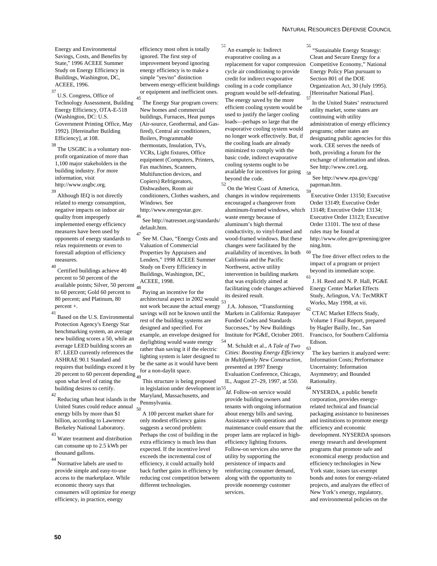Energy and Environmental Savings, Costs, and Benefits by State,'' 1996 ACEEE Summer Study on Energy Efficiency in Buildings, Washington, DC, ACEEE, 1996.

37 U.S. Congress, Office of Technology Assessment, Building Energy Efficiency, OTA-E-518 (Washington, DC: U.S. Government Printing Office, May 1992). [Hereinafter Building Efficiency], at 108.

The USGBC is a voluntary nonprofit organization of more than 1,100 major stakeholders in the building industry. For more information, visit http://www.usgbc.org.

39 Although IEQ is not directly related to energy consumption, negative impacts on indoor air quality from improperly implemented energy efficiency measures have been used by opponents of energy standards to relax requirements or even to forestall adoption of efficiency measures.

 $^{40}$  Certified buildings achieve  $40$ percent to 50 percent of the available points; Silver, 50 percent  $\frac{1}{48}$ to 60 percent; Gold 60 percent to 80 percent; and Platinum, 80 percent +.

41 Based on the U.S. Environmental Protection Agency's Energy Star benchmarking system, an average new building scores a 50, while an average LEED building scores an 87. LEED currently references the ASHRAE 90.1 Standard and requires that buildings exceed it by 20 percent to 60 percent depending <sub>49</sub> upon what level of rating the building desires to certify.

42 Reducing urban heat islands in the United States could reduce annual energy bills by more than \$1 billion, according to Lawrence Berkeley National Laboratory.

43 Water treatment and distribution can consume up to 2.5 kWh per thousand gallons.

44 Normative labels are used to provide simple and easy-to-use access to the marketplace. While economic theory says that consumers will optimize for energy efficiency, in practice, energy

efficiency most often is totally ignored. The first step of improvement beyond ignoring energy efficiency is to make a simple "yes/no" distinction between energy-efficient buildings or equipment and inefficient ones.

45 The Energy Star program covers: New homes and commercial buildings, Furnaces, Heat pumps (Air-source, Geothermal, and Gasfired), Central air conditioners, Boilers, Programmable thermostats, Insulation, TVs, VCRs, Light fixtures, Office equipment (Computers, Printers, Fax machines, Scanners, Multifunction devices, and Copiers) Refrigerators, Dishwashers, Room air conditioners, Clothes washers, and Windows. See http://www.energystar.gov.

 $^{\rm 46}$  See http://natresnet.org/standards/ default.htm.

47 See M. Chao, "Energy Costs and Valuation of Commercial Properties by Appraisers and Lenders," 1998 ACEEE Summer Study on Every Efficiency in Buildings, Washington, DC, ACEEE, 1998.

Paying an incentive for the architectural aspect in 2002 would  $\frac{1}{53}$ not work because the actual energy savings will not be known until the rest of the building systems are designed and specified. For example, an envelope designed for daylighting would waste energy rather than saving it if the electric lighting system is later designed to be the same as it would have been for a non-daylit space.

 This structure is being proposed in legislation under development in <sup>55</sup>*Id.* Follow-on service would Maryland, Massachusetts, and Pennsylvania.<br>50

50 A 100 percent market share for only modest efficiency gains suggests a second problem: Perhaps the cost of building in the extra efficiency is much less than expected. If the incentive level exceeds the incremental cost of efficiency, it could actually hold back further gains in efficiency by reducing cost competition between different technologies.

51 An example is: Indirect evaporative cooling as a replacement for vapor compression cycle air conditioning to provide credit for indirect evaporative cooling in a code compliance program would be self-defeating. The energy saved by the more efficient cooling system would be used to justify the larger cooling loads—perhaps so large that the evaporative cooling system would no longer work effectively. But, if the cooling loads are already minimized to comply with the basic code, indirect evaporative cooling systems ought to be available for incentives for going beyond the code.

52 On the West Coast of America, changes in window requirements encouraged a changeover from aluminum-framed windows, which waste energy because of aluminum's high thermal conductivity, to vinyl-framed and wood-framed windows. But these changes were facilitated by the availability of incentives. In both California and the Pacific Northwest, active utility intervention in building markets that was explicitly aimed at facilitating code changes achieved its desired result.

53 J.A. Johnson, "Transforming Markets in California: Ratepayer Funded Codes and Standards Successes," by New Buildings Institute for PG&E, October 2001.

54 M. Schuldt et al., *A Tale of Two Cities: Boosting Energy Efficiency in Multifamily New Construction*, presented at 1997 Energy Evaluation Conference, Chicago, IL, August 27–29, 1997, at 550.

provide building owners and tenants with ongoing information about energy bills and saving. Assistance with operations and maintenance could ensure that the proper lams are replaced in highefficiency lighting fixtures. Follow-on services also serve the utility by supporting the persistence of impacts and reinforcing consumer demand, along with the opportunity to provide nonenergy customer services.

56 "Sustainable Energy Strategy: Clean and Secure Energy for a Competitive Economy," National Energy Policy Plan pursuant to Section 801 of the DOE Organization Act, 30 (July 1995). [Hereinafter National Plan].

57 In the United States' restructured utility market, some states are continuing with utility administration of energy efficiency programs; other states are designating public agencies for this work. CEE serves the needs of both, providing a forum for the exchange of information and ideas. See http://www.cee1.org.

58 See http://www.epa.gov/cpg/ paprman.htm.

59 Executive Order 13150; Executive Order 13149; Executive Order 13148; Executive Order 13134; Executive Order 13123; Executive Order 13101. The text of these rules may be found at http://www.ofee.gov/greening/gree ning.htm. 60

The free driver effect refers to the impact of a program or project beyond its immediate scope.

 $61$  J. H. Reed and N. P. Hall, PG&E Energy Center Market Effects Study, Arlington, VA: TecMRKT Works, May 1998, at vii.

62 CTAC Market Effects Study, Volume 1 Final Report, prepared by Hagler Bailly, Inc., San Francisco, for Southern California Edison.

The key barriers it analyzed were: Information Costs; Performance Uncertainty; Information Asymmetry; and Bounded Rationality.

 $^{64}$  NYSERDA, a public benefit corporation, provides energyrelated technical and financial packaging assistance to businesses and institutions to promote energy efficiency and economic development. NYSERDA sponsors energy research and development programs that promote safe and economical energy production and efficiency technologies in New York state, issues tax-exempt bonds and notes for energy-related projects, and analyzes the effect of New York's energy, regulatory, and environmental policies on the